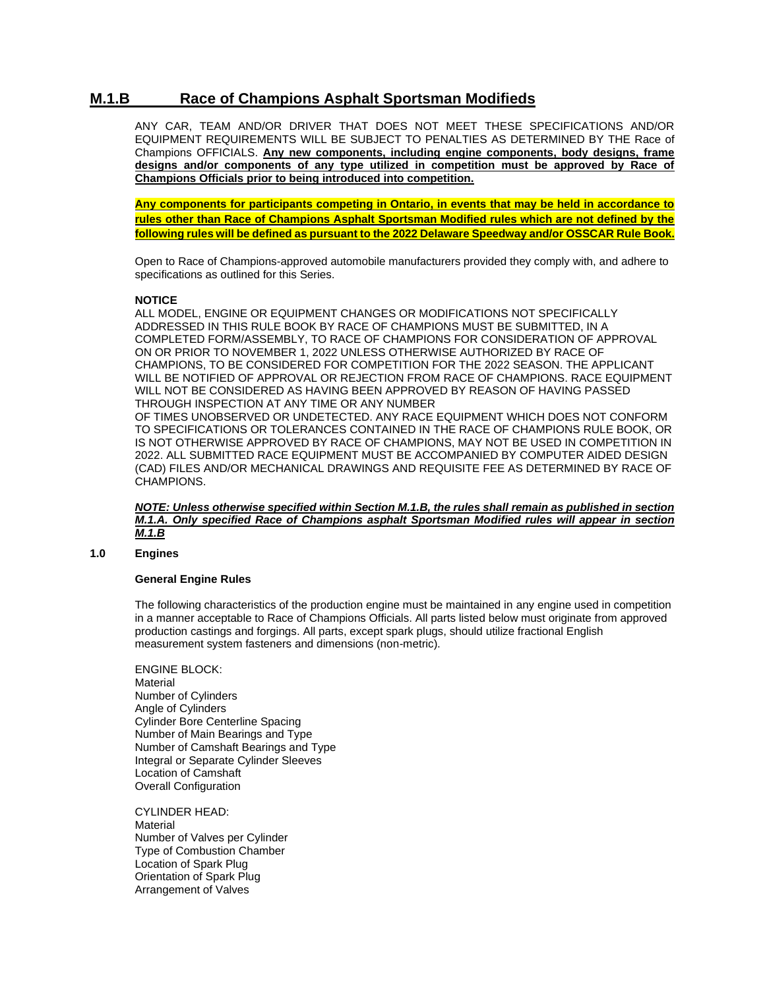# **M.1.B Race of Champions Asphalt Sportsman Modifieds**

ANY CAR, TEAM AND/OR DRIVER THAT DOES NOT MEET THESE SPECIFICATIONS AND/OR EQUIPMENT REQUIREMENTS WILL BE SUBJECT TO PENALTIES AS DETERMINED BY THE Race of Champions OFFICIALS. **Any new components, including engine components, body designs, frame designs and/or components of any type utilized in competition must be approved by Race of Champions Officials prior to being introduced into competition.**

**Any components for participants competing in Ontario, in events that may be held in accordance to rules other than Race of Champions Asphalt Sportsman Modified rules which are not defined by the following rules will be defined as pursuant to the 2022 Delaware Speedway and/or OSSCAR Rule Book.**

Open to Race of Champions-approved automobile manufacturers provided they comply with, and adhere to specifications as outlined for this Series.

# **NOTICE**

ALL MODEL, ENGINE OR EQUIPMENT CHANGES OR MODIFICATIONS NOT SPECIFICALLY ADDRESSED IN THIS RULE BOOK BY RACE OF CHAMPIONS MUST BE SUBMITTED, IN A COMPLETED FORM/ASSEMBLY, TO RACE OF CHAMPIONS FOR CONSIDERATION OF APPROVAL ON OR PRIOR TO NOVEMBER 1, 2022 UNLESS OTHERWISE AUTHORIZED BY RACE OF CHAMPIONS, TO BE CONSIDERED FOR COMPETITION FOR THE 2022 SEASON. THE APPLICANT WILL BE NOTIFIED OF APPROVAL OR REJECTION FROM RACE OF CHAMPIONS. RACE EQUIPMENT WILL NOT BE CONSIDERED AS HAVING BEEN APPROVED BY REASON OF HAVING PASSED THROUGH INSPECTION AT ANY TIME OR ANY NUMBER OF TIMES UNOBSERVED OR UNDETECTED. ANY RACE EQUIPMENT WHICH DOES NOT CONFORM TO SPECIFICATIONS OR TOLERANCES CONTAINED IN THE RACE OF CHAMPIONS RULE BOOK, OR IS NOT OTHERWISE APPROVED BY RACE OF CHAMPIONS, MAY NOT BE USED IN COMPETITION IN 2022. ALL SUBMITTED RACE EQUIPMENT MUST BE ACCOMPANIED BY COMPUTER AIDED DESIGN (CAD) FILES AND/OR MECHANICAL DRAWINGS AND REQUISITE FEE AS DETERMINED BY RACE OF CHAMPIONS.

*NOTE: Unless otherwise specified within Section M.1.B, the rules shall remain as published in section M.1.A. Only specified Race of Champions asphalt Sportsman Modified rules will appear in section M.1.B*

# **1.0 Engines**

# **General Engine Rules**

The following characteristics of the production engine must be maintained in any engine used in competition in a manner acceptable to Race of Champions Officials. All parts listed below must originate from approved production castings and forgings. All parts, except spark plugs, should utilize fractional English measurement system fasteners and dimensions (non-metric).

ENGINE BLOCK: **Material** Number of Cylinders Angle of Cylinders Cylinder Bore Centerline Spacing Number of Main Bearings and Type Number of Camshaft Bearings and Type Integral or Separate Cylinder Sleeves Location of Camshaft Overall Configuration

CYLINDER HEAD: **Material** Number of Valves per Cylinder Type of Combustion Chamber Location of Spark Plug Orientation of Spark Plug Arrangement of Valves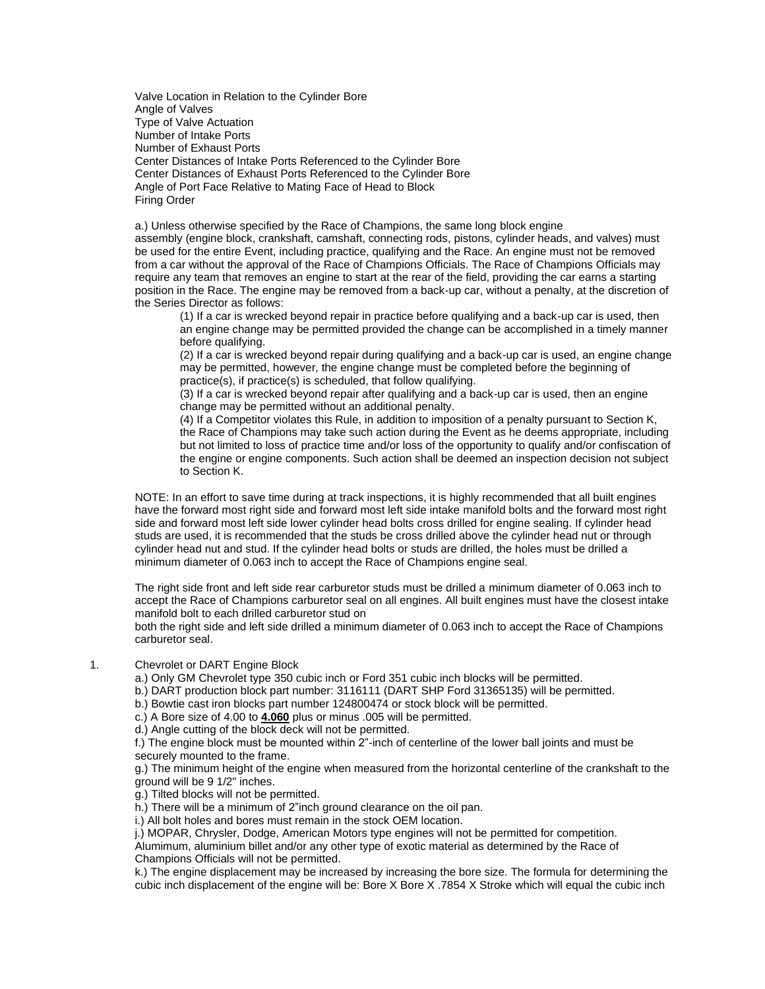Valve Location in Relation to the Cylinder Bore Angle of Valves Type of Valve Actuation Number of Intake Ports Number of Exhaust Ports Center Distances of Intake Ports Referenced to the Cylinder Bore Center Distances of Exhaust Ports Referenced to the Cylinder Bore Angle of Port Face Relative to Mating Face of Head to Block Firing Order

a.) Unless otherwise specified by the Race of Champions, the same long block engine assembly (engine block, crankshaft, camshaft, connecting rods, pistons, cylinder heads, and valves) must be used for the entire Event, including practice, qualifying and the Race. An engine must not be removed from a car without the approval of the Race of Champions Officials. The Race of Champions Officials may require any team that removes an engine to start at the rear of the field, providing the car earns a starting position in the Race. The engine may be removed from a back-up car, without a penalty, at the discretion of the Series Director as follows:

(1) If a car is wrecked beyond repair in practice before qualifying and a back-up car is used, then an engine change may be permitted provided the change can be accomplished in a timely manner before qualifying.

(2) If a car is wrecked beyond repair during qualifying and a back-up car is used, an engine change may be permitted, however, the engine change must be completed before the beginning of practice(s), if practice(s) is scheduled, that follow qualifying.

(3) If a car is wrecked beyond repair after qualifying and a back-up car is used, then an engine change may be permitted without an additional penalty.

(4) If a Competitor violates this Rule, in addition to imposition of a penalty pursuant to Section K, the Race of Champions may take such action during the Event as he deems appropriate, including but not limited to loss of practice time and/or loss of the opportunity to qualify and/or confiscation of the engine or engine components. Such action shall be deemed an inspection decision not subject to Section K.

NOTE: In an effort to save time during at track inspections, it is highly recommended that all built engines have the forward most right side and forward most left side intake manifold bolts and the forward most right side and forward most left side lower cylinder head bolts cross drilled for engine sealing. If cylinder head studs are used, it is recommended that the studs be cross drilled above the cylinder head nut or through cylinder head nut and stud. If the cylinder head bolts or studs are drilled, the holes must be drilled a minimum diameter of 0.063 inch to accept the Race of Champions engine seal.

The right side front and left side rear carburetor studs must be drilled a minimum diameter of 0.063 inch to accept the Race of Champions carburetor seal on all engines. All built engines must have the closest intake manifold bolt to each drilled carburetor stud on

both the right side and left side drilled a minimum diameter of 0.063 inch to accept the Race of Champions carburetor seal.

#### 1. Chevrolet or DART Engine Block

a.) Only GM Chevrolet type 350 cubic inch or Ford 351 cubic inch blocks will be permitted.

b.) DART production block part number: 3116111 (DART SHP Ford 31365135) will be permitted.

b.) Bowtie cast iron blocks part number 124800474 or stock block will be permitted.

c.) A Bore size of 4.00 to **4.060** plus or minus .005 will be permitted.

d.) Angle cutting of the block deck will not be permitted.

f.) The engine block must be mounted within 2"-inch of centerline of the lower ball joints and must be securely mounted to the frame.

g.) The minimum height of the engine when measured from the horizontal centerline of the crankshaft to the ground will be 9 1/2" inches.

g.) Tilted blocks will not be permitted.

h.) There will be a minimum of 2"inch ground clearance on the oil pan.

i.) All bolt holes and bores must remain in the stock OEM location.

j.) MOPAR, Chrysler, Dodge, American Motors type engines will not be permitted for competition.

Alumimum, aluminium billet and/or any other type of exotic material as determined by the Race of Champions Officials will not be permitted.

k.) The engine displacement may be increased by increasing the bore size. The formula for determining the cubic inch displacement of the engine will be: Bore X Bore X .7854 X Stroke which will equal the cubic inch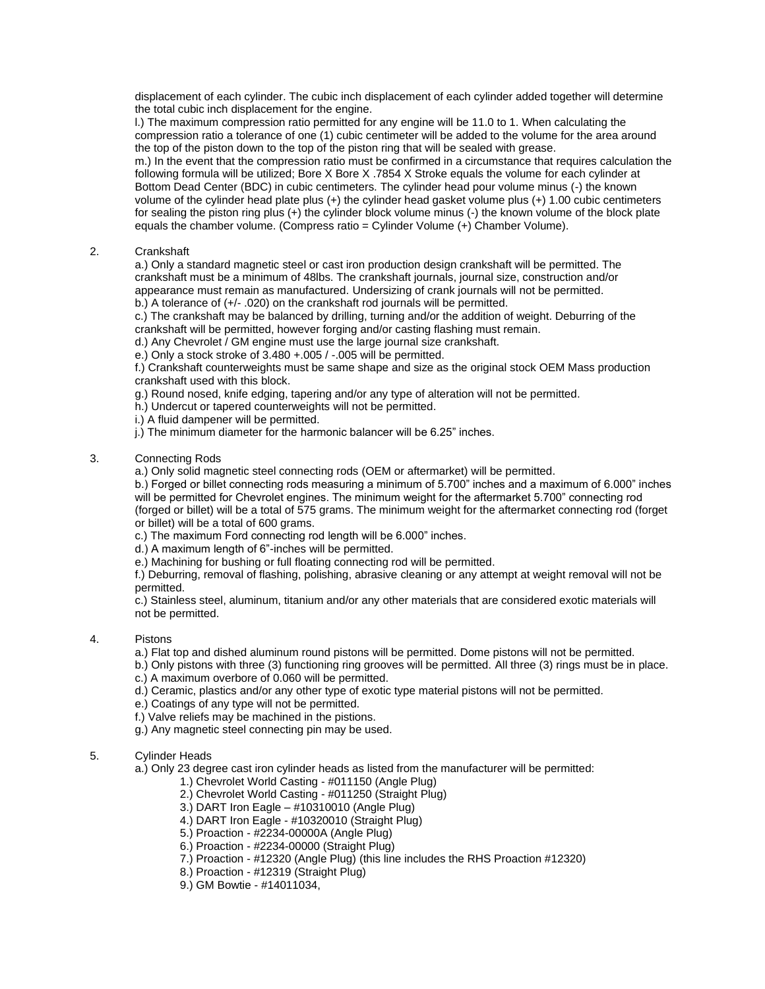displacement of each cylinder. The cubic inch displacement of each cylinder added together will determine the total cubic inch displacement for the engine.

l.) The maximum compression ratio permitted for any engine will be 11.0 to 1. When calculating the compression ratio a tolerance of one (1) cubic centimeter will be added to the volume for the area around the top of the piston down to the top of the piston ring that will be sealed with grease.

m.) In the event that the compression ratio must be confirmed in a circumstance that requires calculation the following formula will be utilized; Bore X Bore X .7854 X Stroke equals the volume for each cylinder at Bottom Dead Center (BDC) in cubic centimeters. The cylinder head pour volume minus (-) the known volume of the cylinder head plate plus (+) the cylinder head gasket volume plus (+) 1.00 cubic centimeters for sealing the piston ring plus (+) the cylinder block volume minus (-) the known volume of the block plate equals the chamber volume. (Compress ratio = Cylinder Volume (+) Chamber Volume).

# 2. Crankshaft

a.) Only a standard magnetic steel or cast iron production design crankshaft will be permitted. The crankshaft must be a minimum of 48lbs. The crankshaft journals, journal size, construction and/or appearance must remain as manufactured. Undersizing of crank journals will not be permitted. b.) A tolerance of (+/- .020) on the crankshaft rod journals will be permitted.

c.) The crankshaft may be balanced by drilling, turning and/or the addition of weight. Deburring of the crankshaft will be permitted, however forging and/or casting flashing must remain.

d.) Any Chevrolet / GM engine must use the large journal size crankshaft.

e.) Only a stock stroke of 3.480 +.005 / -.005 will be permitted.

f.) Crankshaft counterweights must be same shape and size as the original stock OEM Mass production crankshaft used with this block.

g.) Round nosed, knife edging, tapering and/or any type of alteration will not be permitted.

- h.) Undercut or tapered counterweights will not be permitted.
- i.) A fluid dampener will be permitted.
- j.) The minimum diameter for the harmonic balancer will be 6.25" inches.

### 3. Connecting Rods

a.) Only solid magnetic steel connecting rods (OEM or aftermarket) will be permitted.

b.) Forged or billet connecting rods measuring a minimum of 5.700" inches and a maximum of 6.000" inches will be permitted for Chevrolet engines. The minimum weight for the aftermarket 5.700" connecting rod (forged or billet) will be a total of 575 grams. The minimum weight for the aftermarket connecting rod (forget or billet) will be a total of 600 grams.

c.) The maximum Ford connecting rod length will be 6.000" inches.

d.) A maximum length of 6"-inches will be permitted.

e.) Machining for bushing or full floating connecting rod will be permitted.

f.) Deburring, removal of flashing, polishing, abrasive cleaning or any attempt at weight removal will not be permitted.

c.) Stainless steel, aluminum, titanium and/or any other materials that are considered exotic materials will not be permitted.

# 4. Pistons

a.) Flat top and dished aluminum round pistons will be permitted. Dome pistons will not be permitted.

b.) Only pistons with three (3) functioning ring grooves will be permitted. All three (3) rings must be in place.

c.) A maximum overbore of 0.060 will be permitted.

d.) Ceramic, plastics and/or any other type of exotic type material pistons will not be permitted.

e.) Coatings of any type will not be permitted.

f.) Valve reliefs may be machined in the pistions.

g.) Any magnetic steel connecting pin may be used.

# 5. Cylinder Heads

a.) Only 23 degree cast iron cylinder heads as listed from the manufacturer will be permitted:

1.) Chevrolet World Casting - #011150 (Angle Plug)

2.) Chevrolet World Casting - #011250 (Straight Plug)

- 3.) DART Iron Eagle #10310010 (Angle Plug)
- 4.) DART Iron Eagle #10320010 (Straight Plug)
- 5.) Proaction #2234-00000A (Angle Plug)
- 6.) Proaction #2234-00000 (Straight Plug)
- 7.) Proaction #12320 (Angle Plug) (this line includes the RHS Proaction #12320)
- 8.) Proaction #12319 (Straight Plug)
- 9.) GM Bowtie #14011034,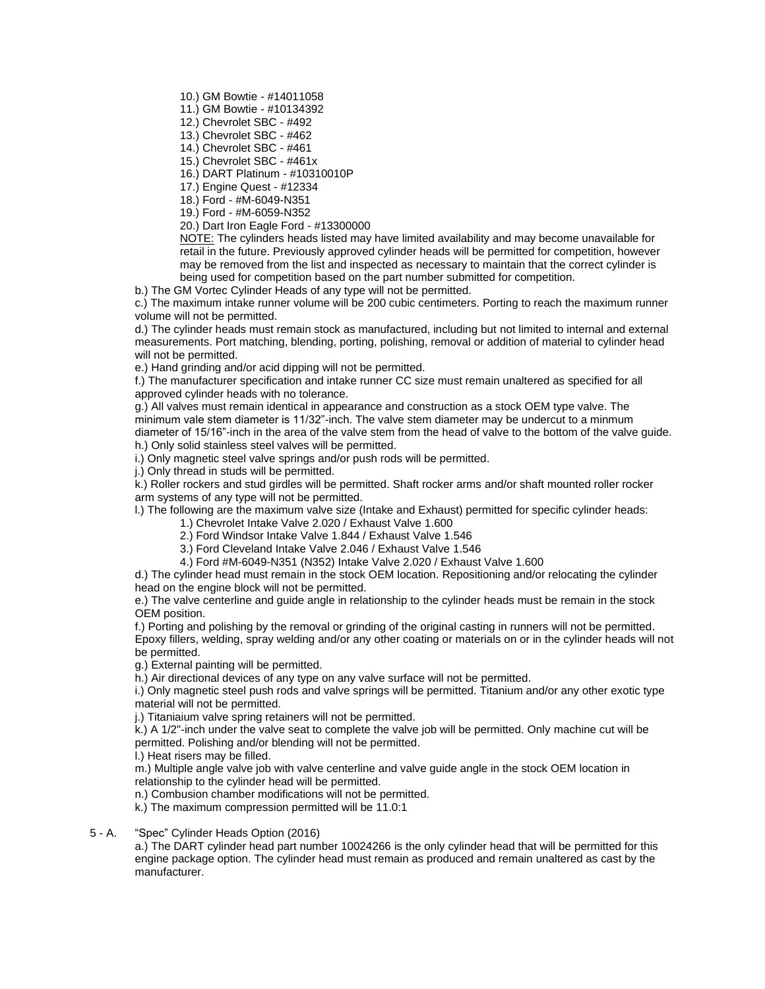10.) GM Bowtie - #14011058

11.) GM Bowtie - #10134392

12.) Chevrolet SBC - #492

13.) Chevrolet SBC - #462

14.) Chevrolet SBC - #461

15.) Chevrolet SBC - #461x

16.) DART Platinum - #10310010P

17.) Engine Quest - #12334

18.) Ford - #M-6049-N351

19.) Ford - #M-6059-N352

20.) Dart Iron Eagle Ford - #13300000

NOTE: The cylinders heads listed may have limited availability and may become unavailable for retail in the future. Previously approved cylinder heads will be permitted for competition, however may be removed from the list and inspected as necessary to maintain that the correct cylinder is being used for competition based on the part number submitted for competition.

b.) The GM Vortec Cylinder Heads of any type will not be permitted.

c.) The maximum intake runner volume will be 200 cubic centimeters. Porting to reach the maximum runner volume will not be permitted.

d.) The cylinder heads must remain stock as manufactured, including but not limited to internal and external measurements. Port matching, blending, porting, polishing, removal or addition of material to cylinder head will not be permitted.

e.) Hand grinding and/or acid dipping will not be permitted.

f.) The manufacturer specification and intake runner CC size must remain unaltered as specified for all approved cylinder heads with no tolerance.

g.) All valves must remain identical in appearance and construction as a stock OEM type valve. The minimum vale stem diameter is 11/32"-inch. The valve stem diameter may be undercut to a minmum diameter of 15/16"-inch in the area of the valve stem from the head of valve to the bottom of the valve guide. h.) Only solid stainless steel valves will be permitted.

i.) Only magnetic steel valve springs and/or push rods will be permitted.

j.) Only thread in studs will be permitted.

k.) Roller rockers and stud girdles will be permitted. Shaft rocker arms and/or shaft mounted roller rocker arm systems of any type will not be permitted.

l.) The following are the maximum valve size (Intake and Exhaust) permitted for specific cylinder heads:

1.) Chevrolet Intake Valve 2.020 / Exhaust Valve 1.600

2.) Ford Windsor Intake Valve 1.844 / Exhaust Valve 1.546

3.) Ford Cleveland Intake Valve 2.046 / Exhaust Valve 1.546

4.) Ford #M-6049-N351 (N352) Intake Valve 2.020 / Exhaust Valve 1.600

d.) The cylinder head must remain in the stock OEM location. Repositioning and/or relocating the cylinder head on the engine block will not be permitted.

e.) The valve centerline and guide angle in relationship to the cylinder heads must be remain in the stock OEM position.

f.) Porting and polishing by the removal or grinding of the original casting in runners will not be permitted. Epoxy fillers, welding, spray welding and/or any other coating or materials on or in the cylinder heads will not be permitted.

g.) External painting will be permitted.

h.) Air directional devices of any type on any valve surface will not be permitted.

i.) Only magnetic steel push rods and valve springs will be permitted. Titanium and/or any other exotic type material will not be permitted.

j.) Titaniaium valve spring retainers will not be permitted.

k.) A 1/2"-inch under the valve seat to complete the valve job will be permitted. Only machine cut will be permitted. Polishing and/or blending will not be permitted.

l.) Heat risers may be filled.

m.) Multiple angle valve job with valve centerline and valve guide angle in the stock OEM location in relationship to the cylinder head will be permitted.

n.) Combusion chamber modifications will not be permitted.

k.) The maximum compression permitted will be 11.0:1

5 - A. "Spec" Cylinder Heads Option (2016)

a.) The DART cylinder head part number 10024266 is the only cylinder head that will be permitted for this engine package option. The cylinder head must remain as produced and remain unaltered as cast by the manufacturer.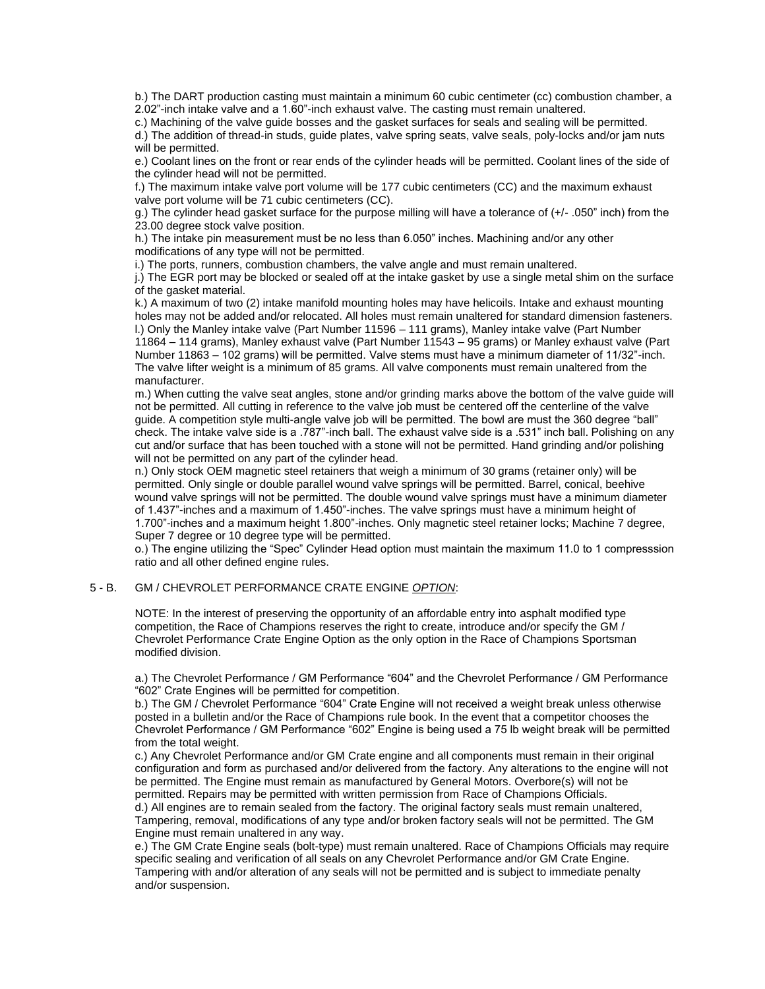b.) The DART production casting must maintain a minimum 60 cubic centimeter (cc) combustion chamber, a 2.02"-inch intake valve and a 1.60"-inch exhaust valve. The casting must remain unaltered.

c.) Machining of the valve guide bosses and the gasket surfaces for seals and sealing will be permitted.

d.) The addition of thread-in studs, guide plates, valve spring seats, valve seals, poly-locks and/or jam nuts will be permitted.

e.) Coolant lines on the front or rear ends of the cylinder heads will be permitted. Coolant lines of the side of the cylinder head will not be permitted.

f.) The maximum intake valve port volume will be 177 cubic centimeters (CC) and the maximum exhaust valve port volume will be 71 cubic centimeters (CC).

g.) The cylinder head gasket surface for the purpose milling will have a tolerance of (+/- .050" inch) from the 23.00 degree stock valve position.

h.) The intake pin measurement must be no less than 6.050" inches. Machining and/or any other modifications of any type will not be permitted.

i.) The ports, runners, combustion chambers, the valve angle and must remain unaltered.

j.) The EGR port may be blocked or sealed off at the intake gasket by use a single metal shim on the surface of the gasket material.

k.) A maximum of two (2) intake manifold mounting holes may have helicoils. Intake and exhaust mounting holes may not be added and/or relocated. All holes must remain unaltered for standard dimension fasteners. l.) Only the Manley intake valve (Part Number 11596 – 111 grams), Manley intake valve (Part Number 11864 – 114 grams), Manley exhaust valve (Part Number 11543 – 95 grams) or Manley exhaust valve (Part Number 11863 – 102 grams) will be permitted. Valve stems must have a minimum diameter of 11/32"-inch. The valve lifter weight is a minimum of 85 grams. All valve components must remain unaltered from the manufacturer.

m.) When cutting the valve seat angles, stone and/or grinding marks above the bottom of the valve guide will not be permitted. All cutting in reference to the valve job must be centered off the centerline of the valve guide. A competition style multi-angle valve job will be permitted. The bowl are must the 360 degree "ball" check. The intake valve side is a .787"-inch ball. The exhaust valve side is a .531" inch ball. Polishing on any cut and/or surface that has been touched with a stone will not be permitted. Hand grinding and/or polishing will not be permitted on any part of the cylinder head.

n.) Only stock OEM magnetic steel retainers that weigh a minimum of 30 grams (retainer only) will be permitted. Only single or double parallel wound valve springs will be permitted. Barrel, conical, beehive wound valve springs will not be permitted. The double wound valve springs must have a minimum diameter of 1.437"-inches and a maximum of 1.450"-inches. The valve springs must have a minimum height of 1.700"-inches and a maximum height 1.800"-inches. Only magnetic steel retainer locks; Machine 7 degree, Super 7 degree or 10 degree type will be permitted.

o.) The engine utilizing the "Spec" Cylinder Head option must maintain the maximum 11.0 to 1 compresssion ratio and all other defined engine rules.

### 5 - B. GM / CHEVROLET PERFORMANCE CRATE ENGINE *OPTION*:

NOTE: In the interest of preserving the opportunity of an affordable entry into asphalt modified type competition, the Race of Champions reserves the right to create, introduce and/or specify the GM / Chevrolet Performance Crate Engine Option as the only option in the Race of Champions Sportsman modified division.

a.) The Chevrolet Performance / GM Performance "604" and the Chevrolet Performance / GM Performance "602" Crate Engines will be permitted for competition.

b.) The GM / Chevrolet Performance "604" Crate Engine will not received a weight break unless otherwise posted in a bulletin and/or the Race of Champions rule book. In the event that a competitor chooses the Chevrolet Performance / GM Performance "602" Engine is being used a 75 lb weight break will be permitted from the total weight.

c.) Any Chevrolet Performance and/or GM Crate engine and all components must remain in their original configuration and form as purchased and/or delivered from the factory. Any alterations to the engine will not be permitted. The Engine must remain as manufactured by General Motors. Overbore(s) will not be permitted. Repairs may be permitted with written permission from Race of Champions Officials. d.) All engines are to remain sealed from the factory. The original factory seals must remain unaltered, Tampering, removal, modifications of any type and/or broken factory seals will not be permitted. The GM

Engine must remain unaltered in any way. e.) The GM Crate Engine seals (bolt-type) must remain unaltered. Race of Champions Officials may require specific sealing and verification of all seals on any Chevrolet Performance and/or GM Crate Engine. Tampering with and/or alteration of any seals will not be permitted and is subject to immediate penalty and/or suspension.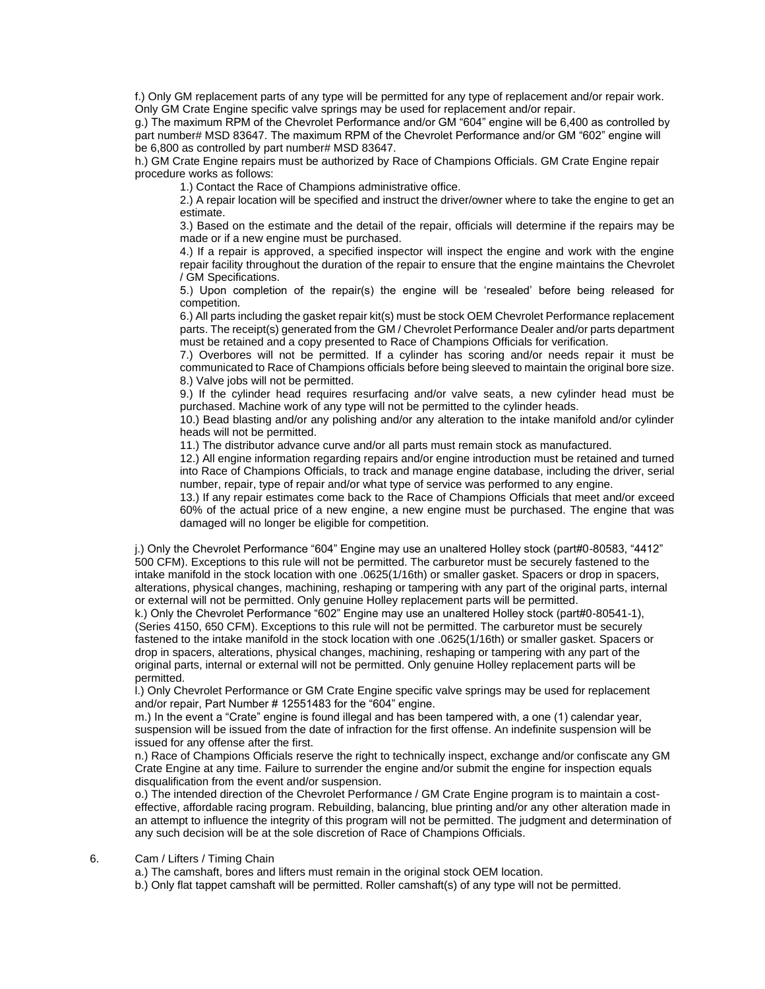f.) Only GM replacement parts of any type will be permitted for any type of replacement and/or repair work. Only GM Crate Engine specific valve springs may be used for replacement and/or repair.

g.) The maximum RPM of the Chevrolet Performance and/or GM "604" engine will be 6,400 as controlled by part number# MSD 83647. The maximum RPM of the Chevrolet Performance and/or GM "602" engine will be 6,800 as controlled by part number# MSD 83647.

h.) GM Crate Engine repairs must be authorized by Race of Champions Officials. GM Crate Engine repair procedure works as follows:

1.) Contact the Race of Champions administrative office.

2.) A repair location will be specified and instruct the driver/owner where to take the engine to get an estimate.

3.) Based on the estimate and the detail of the repair, officials will determine if the repairs may be made or if a new engine must be purchased.

4.) If a repair is approved, a specified inspector will inspect the engine and work with the engine repair facility throughout the duration of the repair to ensure that the engine maintains the Chevrolet / GM Specifications.

5.) Upon completion of the repair(s) the engine will be 'resealed' before being released for competition.

6.) All parts including the gasket repair kit(s) must be stock OEM Chevrolet Performance replacement parts. The receipt(s) generated from the GM / Chevrolet Performance Dealer and/or parts department must be retained and a copy presented to Race of Champions Officials for verification.

7.) Overbores will not be permitted. If a cylinder has scoring and/or needs repair it must be communicated to Race of Champions officials before being sleeved to maintain the original bore size. 8.) Valve jobs will not be permitted.

9.) If the cylinder head requires resurfacing and/or valve seats, a new cylinder head must be purchased. Machine work of any type will not be permitted to the cylinder heads.

10.) Bead blasting and/or any polishing and/or any alteration to the intake manifold and/or cylinder heads will not be permitted.

11.) The distributor advance curve and/or all parts must remain stock as manufactured.

12.) All engine information regarding repairs and/or engine introduction must be retained and turned into Race of Champions Officials, to track and manage engine database, including the driver, serial number, repair, type of repair and/or what type of service was performed to any engine.

13.) If any repair estimates come back to the Race of Champions Officials that meet and/or exceed 60% of the actual price of a new engine, a new engine must be purchased. The engine that was damaged will no longer be eligible for competition.

j.) Only the Chevrolet Performance "604" Engine may use an unaltered Holley stock (part#0-80583, "4412" 500 CFM). Exceptions to this rule will not be permitted. The carburetor must be securely fastened to the intake manifold in the stock location with one .0625(1/16th) or smaller gasket. Spacers or drop in spacers, alterations, physical changes, machining, reshaping or tampering with any part of the original parts, internal or external will not be permitted. Only genuine Holley replacement parts will be permitted.

k.) Only the Chevrolet Performance "602" Engine may use an unaltered Holley stock (part#0-80541-1), (Series 4150, 650 CFM). Exceptions to this rule will not be permitted. The carburetor must be securely fastened to the intake manifold in the stock location with one .0625(1/16th) or smaller gasket. Spacers or drop in spacers, alterations, physical changes, machining, reshaping or tampering with any part of the original parts, internal or external will not be permitted. Only genuine Holley replacement parts will be permitted.

l.) Only Chevrolet Performance or GM Crate Engine specific valve springs may be used for replacement and/or repair, Part Number # 12551483 for the "604" engine.

m.) In the event a "Crate" engine is found illegal and has been tampered with, a one (1) calendar year, suspension will be issued from the date of infraction for the first offense. An indefinite suspension will be issued for any offense after the first.

n.) Race of Champions Officials reserve the right to technically inspect, exchange and/or confiscate any GM Crate Engine at any time. Failure to surrender the engine and/or submit the engine for inspection equals disqualification from the event and/or suspension.

o.) The intended direction of the Chevrolet Performance / GM Crate Engine program is to maintain a costeffective, affordable racing program. Rebuilding, balancing, blue printing and/or any other alteration made in an attempt to influence the integrity of this program will not be permitted. The judgment and determination of any such decision will be at the sole discretion of Race of Champions Officials.

### 6. Cam / Lifters / Timing Chain

a.) The camshaft, bores and lifters must remain in the original stock OEM location.

b.) Only flat tappet camshaft will be permitted. Roller camshaft(s) of any type will not be permitted.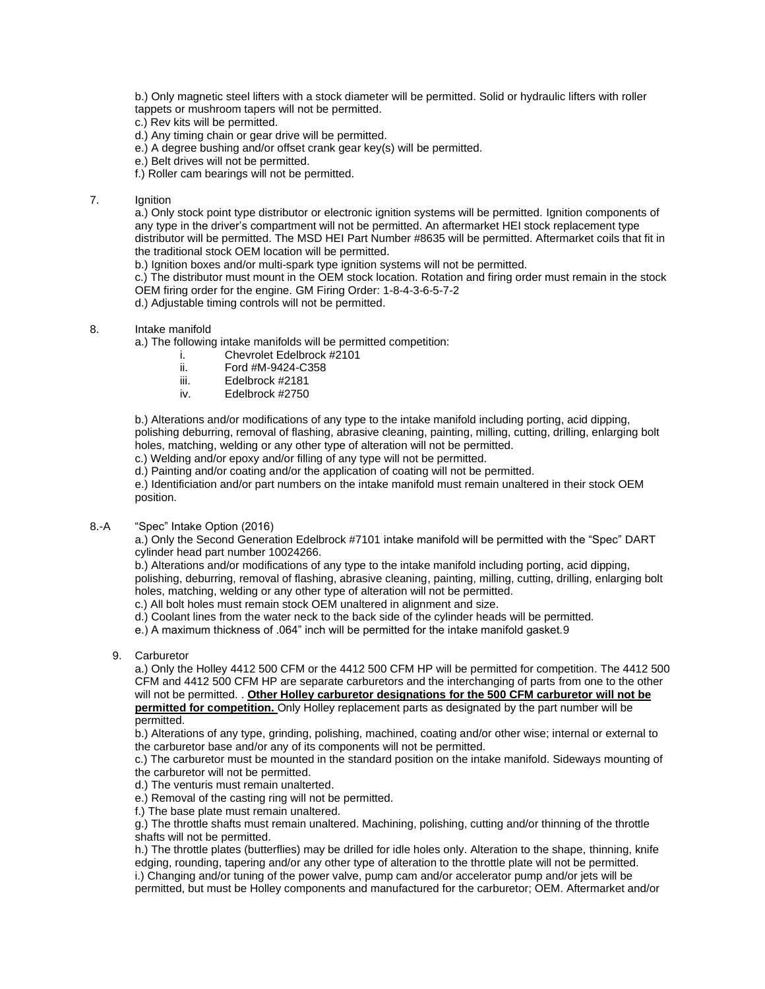b.) Only magnetic steel lifters with a stock diameter will be permitted. Solid or hydraulic lifters with roller tappets or mushroom tapers will not be permitted.

- c.) Rev kits will be permitted.
- d.) Any timing chain or gear drive will be permitted.
- e.) A degree bushing and/or offset crank gear key(s) will be permitted.
- e.) Belt drives will not be permitted.
- f.) Roller cam bearings will not be permitted.

# 7. Ignition

a.) Only stock point type distributor or electronic ignition systems will be permitted. Ignition components of any type in the driver's compartment will not be permitted. An aftermarket HEI stock replacement type distributor will be permitted. The MSD HEI Part Number #8635 will be permitted. Aftermarket coils that fit in the traditional stock OEM location will be permitted.

b.) Ignition boxes and/or multi-spark type ignition systems will not be permitted.

c.) The distributor must mount in the OEM stock location. Rotation and firing order must remain in the stock OEM firing order for the engine. GM Firing Order: 1-8-4-3-6-5-7-2

d.) Adjustable timing controls will not be permitted.

8. Intake manifold

a.) The following intake manifolds will be permitted competition:

- i. Chevrolet Edelbrock #2101
- ii. Ford #M-9424-C358
- iii. Edelbrock #2181
- iv. Edelbrock #2750

b.) Alterations and/or modifications of any type to the intake manifold including porting, acid dipping, polishing deburring, removal of flashing, abrasive cleaning, painting, milling, cutting, drilling, enlarging bolt holes, matching, welding or any other type of alteration will not be permitted.

c.) Welding and/or epoxy and/or filling of any type will not be permitted.

d.) Painting and/or coating and/or the application of coating will not be permitted.

e.) Identificiation and/or part numbers on the intake manifold must remain unaltered in their stock OEM position.

### 8.-A "Spec" Intake Option (2016)

a.) Only the Second Generation Edelbrock #7101 intake manifold will be permitted with the "Spec" DART cylinder head part number 10024266.

b.) Alterations and/or modifications of any type to the intake manifold including porting, acid dipping, polishing, deburring, removal of flashing, abrasive cleaning, painting, milling, cutting, drilling, enlarging bolt holes, matching, welding or any other type of alteration will not be permitted.

c.) All bolt holes must remain stock OEM unaltered in alignment and size.

d.) Coolant lines from the water neck to the back side of the cylinder heads will be permitted.

e.) A maximum thickness of .064" inch will be permitted for the intake manifold gasket.9

#### 9. Carburetor

a.) Only the Holley 4412 500 CFM or the 4412 500 CFM HP will be permitted for competition. The 4412 500 CFM and 4412 500 CFM HP are separate carburetors and the interchanging of parts from one to the other will not be permitted. . **Other Holley carburetor designations for the 500 CFM carburetor will not be permitted for competition.** Only Holley replacement parts as designated by the part number will be permitted.

b.) Alterations of any type, grinding, polishing, machined, coating and/or other wise; internal or external to the carburetor base and/or any of its components will not be permitted.

c.) The carburetor must be mounted in the standard position on the intake manifold. Sideways mounting of the carburetor will not be permitted.

- d.) The venturis must remain unalterted.
- e.) Removal of the casting ring will not be permitted.
- f.) The base plate must remain unaltered.

g.) The throttle shafts must remain unaltered. Machining, polishing, cutting and/or thinning of the throttle shafts will not be permitted.

h.) The throttle plates (butterflies) may be drilled for idle holes only. Alteration to the shape, thinning, knife edging, rounding, tapering and/or any other type of alteration to the throttle plate will not be permitted.

i.) Changing and/or tuning of the power valve, pump cam and/or accelerator pump and/or jets will be permitted, but must be Holley components and manufactured for the carburetor; OEM. Aftermarket and/or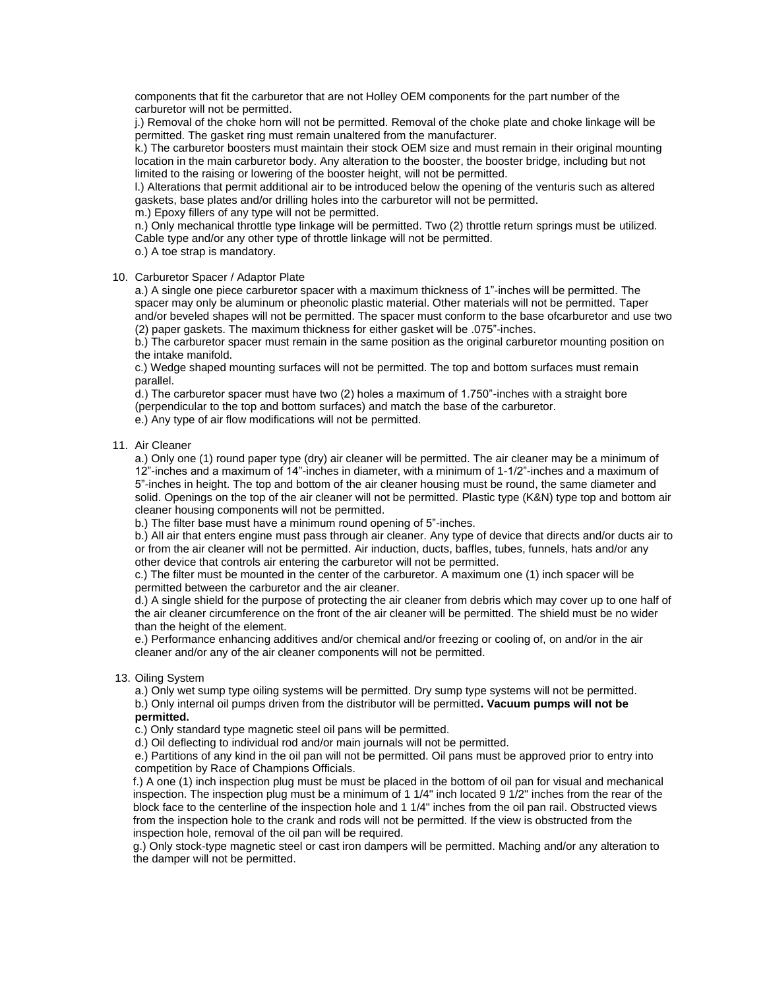components that fit the carburetor that are not Holley OEM components for the part number of the carburetor will not be permitted.

j.) Removal of the choke horn will not be permitted. Removal of the choke plate and choke linkage will be permitted. The gasket ring must remain unaltered from the manufacturer.

k.) The carburetor boosters must maintain their stock OEM size and must remain in their original mounting location in the main carburetor body. Any alteration to the booster, the booster bridge, including but not limited to the raising or lowering of the booster height, will not be permitted.

l.) Alterations that permit additional air to be introduced below the opening of the venturis such as altered gaskets, base plates and/or drilling holes into the carburetor will not be permitted.

m.) Epoxy fillers of any type will not be permitted.

n.) Only mechanical throttle type linkage will be permitted. Two (2) throttle return springs must be utilized. Cable type and/or any other type of throttle linkage will not be permitted.

o.) A toe strap is mandatory.

### 10. Carburetor Spacer / Adaptor Plate

a.) A single one piece carburetor spacer with a maximum thickness of 1"-inches will be permitted. The spacer may only be aluminum or pheonolic plastic material. Other materials will not be permitted. Taper and/or beveled shapes will not be permitted. The spacer must conform to the base ofcarburetor and use two (2) paper gaskets. The maximum thickness for either gasket will be .075"-inches.

b.) The carburetor spacer must remain in the same position as the original carburetor mounting position on the intake manifold.

c.) Wedge shaped mounting surfaces will not be permitted. The top and bottom surfaces must remain parallel.

d.) The carburetor spacer must have two (2) holes a maximum of 1.750"-inches with a straight bore (perpendicular to the top and bottom surfaces) and match the base of the carburetor.

e.) Any type of air flow modifications will not be permitted.

### 11. Air Cleaner

a.) Only one (1) round paper type (dry) air cleaner will be permitted. The air cleaner may be a minimum of 12"-inches and a maximum of 14"-inches in diameter, with a minimum of 1-1/2"-inches and a maximum of 5"-inches in height. The top and bottom of the air cleaner housing must be round, the same diameter and solid. Openings on the top of the air cleaner will not be permitted. Plastic type (K&N) type top and bottom air cleaner housing components will not be permitted.

b.) The filter base must have a minimum round opening of 5"-inches.

b.) All air that enters engine must pass through air cleaner. Any type of device that directs and/or ducts air to or from the air cleaner will not be permitted. Air induction, ducts, baffles, tubes, funnels, hats and/or any other device that controls air entering the carburetor will not be permitted.

c.) The filter must be mounted in the center of the carburetor. A maximum one (1) inch spacer will be permitted between the carburetor and the air cleaner.

d.) A single shield for the purpose of protecting the air cleaner from debris which may cover up to one half of the air cleaner circumference on the front of the air cleaner will be permitted. The shield must be no wider than the height of the element.

e.) Performance enhancing additives and/or chemical and/or freezing or cooling of, on and/or in the air cleaner and/or any of the air cleaner components will not be permitted.

### 13. Oiling System

a.) Only wet sump type oiling systems will be permitted. Dry sump type systems will not be permitted. b.) Only internal oil pumps driven from the distributor will be permitted**. Vacuum pumps will not be permitted.**

c.) Only standard type magnetic steel oil pans will be permitted.

d.) Oil deflecting to individual rod and/or main journals will not be permitted.

e.) Partitions of any kind in the oil pan will not be permitted. Oil pans must be approved prior to entry into competition by Race of Champions Officials.

f.) A one (1) inch inspection plug must be must be placed in the bottom of oil pan for visual and mechanical inspection. The inspection plug must be a minimum of 1 1/4" inch located 9 1/2" inches from the rear of the block face to the centerline of the inspection hole and 1 1/4" inches from the oil pan rail. Obstructed views from the inspection hole to the crank and rods will not be permitted. If the view is obstructed from the inspection hole, removal of the oil pan will be required.

g.) Only stock-type magnetic steel or cast iron dampers will be permitted. Maching and/or any alteration to the damper will not be permitted.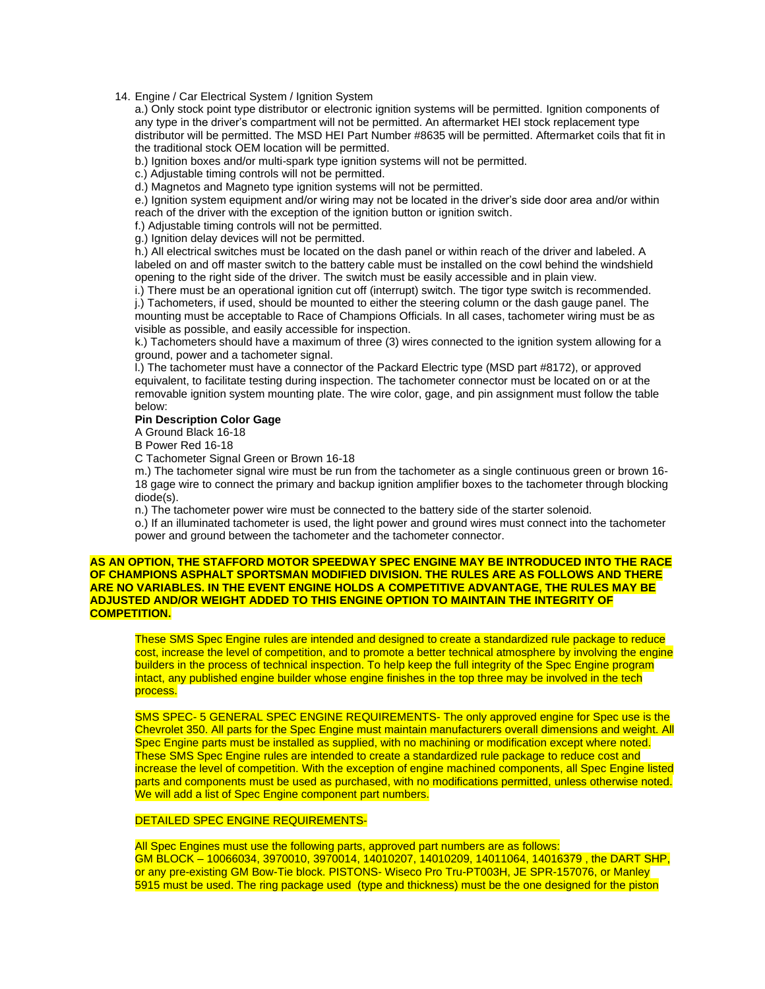### 14. Engine / Car Electrical System / Ignition System

a.) Only stock point type distributor or electronic ignition systems will be permitted. Ignition components of any type in the driver's compartment will not be permitted. An aftermarket HEI stock replacement type distributor will be permitted. The MSD HEI Part Number #8635 will be permitted. Aftermarket coils that fit in the traditional stock OEM location will be permitted.

b.) Ignition boxes and/or multi-spark type ignition systems will not be permitted.

c.) Adjustable timing controls will not be permitted.

d.) Magnetos and Magneto type ignition systems will not be permitted.

e.) Ignition system equipment and/or wiring may not be located in the driver's side door area and/or within reach of the driver with the exception of the ignition button or ignition switch.

f.) Adjustable timing controls will not be permitted.

g.) Ignition delay devices will not be permitted.

h.) All electrical switches must be located on the dash panel or within reach of the driver and labeled. A labeled on and off master switch to the battery cable must be installed on the cowl behind the windshield opening to the right side of the driver. The switch must be easily accessible and in plain view.

i.) There must be an operational ignition cut off (interrupt) switch. The tigor type switch is recommended. j.) Tachometers, if used, should be mounted to either the steering column or the dash gauge panel. The mounting must be acceptable to Race of Champions Officials. In all cases, tachometer wiring must be as visible as possible, and easily accessible for inspection.

k.) Tachometers should have a maximum of three (3) wires connected to the ignition system allowing for a ground, power and a tachometer signal.

l.) The tachometer must have a connector of the Packard Electric type (MSD part #8172), or approved equivalent, to facilitate testing during inspection. The tachometer connector must be located on or at the removable ignition system mounting plate. The wire color, gage, and pin assignment must follow the table below:

#### **Pin Description Color Gage**

A Ground Black 16-18

B Power Red 16-18

C Tachometer Signal Green or Brown 16-18

m.) The tachometer signal wire must be run from the tachometer as a single continuous green or brown 16- 18 gage wire to connect the primary and backup ignition amplifier boxes to the tachometer through blocking diode(s).

n.) The tachometer power wire must be connected to the battery side of the starter solenoid.

o.) If an illuminated tachometer is used, the light power and ground wires must connect into the tachometer power and ground between the tachometer and the tachometer connector.

### **AS AN OPTION, THE STAFFORD MOTOR SPEEDWAY SPEC ENGINE MAY BE INTRODUCED INTO THE RACE OF CHAMPIONS ASPHALT SPORTSMAN MODIFIED DIVISION. THE RULES ARE AS FOLLOWS AND THERE ARE NO VARIABLES. IN THE EVENT ENGINE HOLDS A COMPETITIVE ADVANTAGE, THE RULES MAY BE ADJUSTED AND/OR WEIGHT ADDED TO THIS ENGINE OPTION TO MAINTAIN THE INTEGRITY OF COMPETITION.**

These SMS Spec Engine rules are intended and designed to create a standardized rule package to reduce cost, increase the level of competition, and to promote a better technical atmosphere by involving the engine builders in the process of technical inspection. To help keep the full integrity of the Spec Engine program intact, any published engine builder whose engine finishes in the top three may be involved in the tech process.

SMS SPEC- 5 GENERAL SPEC ENGINE REQUIREMENTS- The only approved engine for Spec use is the Chevrolet 350. All parts for the Spec Engine must maintain manufacturers overall dimensions and weight. All Spec Engine parts must be installed as supplied, with no machining or modification except where noted. These SMS Spec Engine rules are intended to create a standardized rule package to reduce cost and increase the level of competition. With the exception of engine machined components, all Spec Engine listed parts and components must be used as purchased, with no modifications permitted, unless otherwise noted. We will add a list of Spec Engine component part numbers.

# DETAILED SPEC ENGINE REQUIREMENTS-

All Spec Engines must use the following parts, approved part numbers are as follows: GM BLOCK – 10066034, 3970010, 3970014, 14010207, 14010209, 14011064, 14016379 , the DART SHP, or any pre-existing GM Bow-Tie block. PISTONS- Wiseco Pro Tru-PT003H, JE SPR-157076, or Manley 5915 must be used. The ring package used (type and thickness) must be the one designed for the piston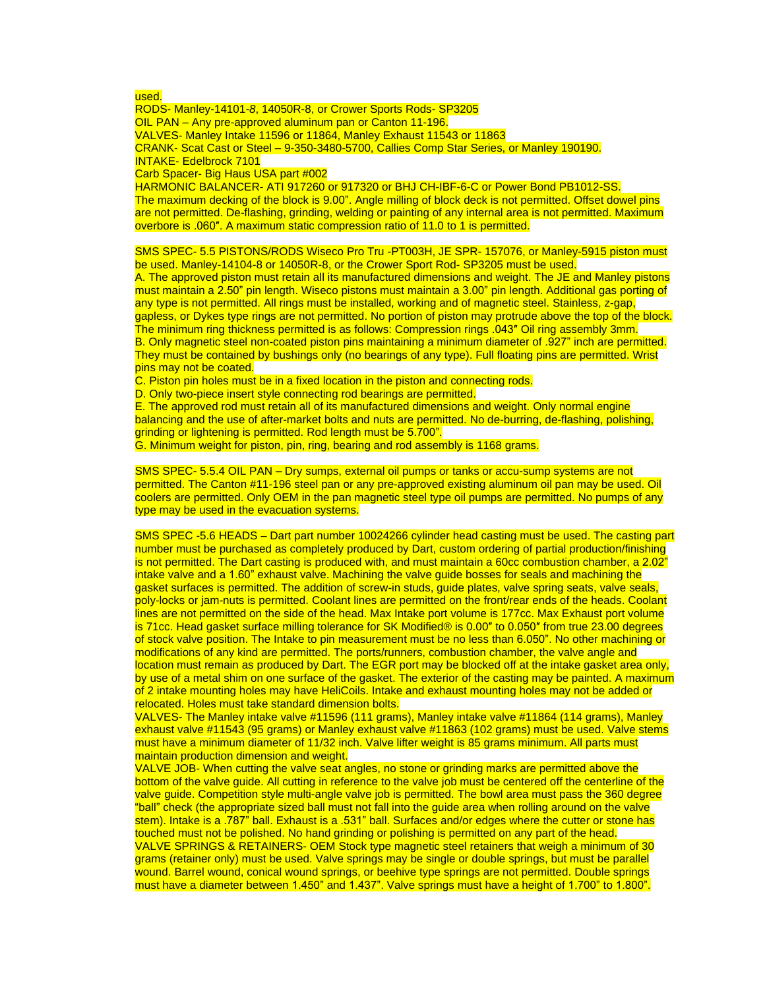used.

RODS- Manley-14101*-8*, 14050R-8, or Crower Sports Rods- SP3205 OIL PAN – Any pre-approved aluminum pan or Canton 11-196. VALVES- Manley Intake 11596 or 11864, Manley Exhaust 11543 or 11863 CRANK- Scat Cast or Steel – 9-350-3480-5700, Callies Comp Star Series, or Manley 190190. INTAKE- Edelbrock 7101 Carb Spacer- Big Haus USA part #002 HARMONIC BALANCER- ATI 917260 or 917320 or BHJ CH-IBF-6-C or Power Bond PB1012-SS. The maximum decking of the block is 9.00". Angle milling of block deck is not permitted. Offset dowel pins are not permitted. De-flashing, grinding, welding or painting of any internal area is not permitted. Maximum

overbore is .060″. A maximum static compression ratio of 11.0 to 1 is permitted.

SMS SPEC- 5.5 PISTONS/RODS Wiseco Pro Tru -PT003H, JE SPR- 157076, or Manley-5915 piston must be used. Manley-14104-8 or 14050R-8, or the Crower Sport Rod- SP3205 must be used. A. The approved piston must retain all its manufactured dimensions and weight. The JE and Manley pistons must maintain a 2.50" pin length. Wiseco pistons must maintain a 3.00" pin length. Additional gas porting of any type is not permitted. All rings must be installed, working and of magnetic steel. Stainless, z-gap, gapless, or Dykes type rings are not permitted. No portion of piston may protrude above the top of the block. The minimum ring thickness permitted is as follows: Compression rings .043″ Oil ring assembly 3mm. B. Only magnetic steel non-coated piston pins maintaining a minimum diameter of .927" inch are permitted. They must be contained by bushings only (no bearings of any type). Full floating pins are permitted. Wrist pins may not be coated.

C. Piston pin holes must be in a fixed location in the piston and connecting rods.

D. Only two-piece insert style connecting rod bearings are permitted.

E. The approved rod must retain all of its manufactured dimensions and weight. Only normal engine balancing and the use of after-market bolts and nuts are permitted. No de-burring, de-flashing, polishing, grinding or lightening is permitted. Rod length must be 5.700".

G. Minimum weight for piston, pin, ring, bearing and rod assembly is 1168 grams.

SMS SPEC- 5.5.4 OIL PAN – Dry sumps, external oil pumps or tanks or accu-sump systems are not permitted. The Canton #11-196 steel pan or any pre-approved existing aluminum oil pan may be used. Oil coolers are permitted. Only OEM in the pan magnetic steel type oil pumps are permitted. No pumps of any type may be used in the evacuation systems.

SMS SPEC -5.6 HEADS – Dart part number 10024266 cylinder head casting must be used. The casting part number must be purchased as completely produced by Dart, custom ordering of partial production/finishing is not permitted. The Dart casting is produced with, and must maintain a 60cc combustion chamber, a 2.02" intake valve and a 1.60" exhaust valve. Machining the valve guide bosses for seals and machining the gasket surfaces is permitted. The addition of screw-in studs, guide plates, valve spring seats, valve seals, poly-locks or jam-nuts is permitted. Coolant lines are permitted on the front/rear ends of the heads. Coolant lines are not permitted on the side of the head. Max Intake port volume is 177cc. Max Exhaust port volume is 71cc. Head gasket surface milling tolerance for SK Modified® is 0.00″ to 0.050″ from true 23.00 degrees of stock valve position. The Intake to pin measurement must be no less than 6.050". No other machining or modifications of any kind are permitted. The ports/runners, combustion chamber, the valve angle and location must remain as produced by Dart. The EGR port may be blocked off at the intake gasket area only, by use of a metal shim on one surface of the gasket. The exterior of the casting may be painted. A maximum of 2 intake mounting holes may have HeliCoils. Intake and exhaust mounting holes may not be added or relocated. Holes must take standard dimension bolts.

VALVES- The Manley intake valve #11596 (111 grams), Manley intake valve #11864 (114 grams), Manley exhaust valve #11543 (95 grams) or Manley exhaust valve #11863 (102 grams) must be used. Valve stems must have a minimum diameter of 11/32 inch. Valve lifter weight is 85 grams minimum. All parts must maintain production dimension and weight.

VALVE JOB- When cutting the valve seat angles, no stone or grinding marks are permitted above the bottom of the valve guide. All cutting in reference to the valve job must be centered off the centerline of the valve guide. Competition style multi-angle valve job is permitted. The bowl area must pass the 360 degree "ball" check (the appropriate sized ball must not fall into the guide area when rolling around on the valve stem). Intake is a .787" ball. Exhaust is a .531" ball. Surfaces and/or edges where the cutter or stone has touched must not be polished. No hand grinding or polishing is permitted on any part of the head. VALVE SPRINGS & RETAINERS- OEM Stock type magnetic steel retainers that weigh a minimum of 30 grams (retainer only) must be used. Valve springs may be single or double springs, but must be parallel wound. Barrel wound, conical wound springs, or beehive type springs are not permitted. Double springs must have a diameter between 1.450" and 1.437". Valve springs must have a height of 1.700" to 1.800".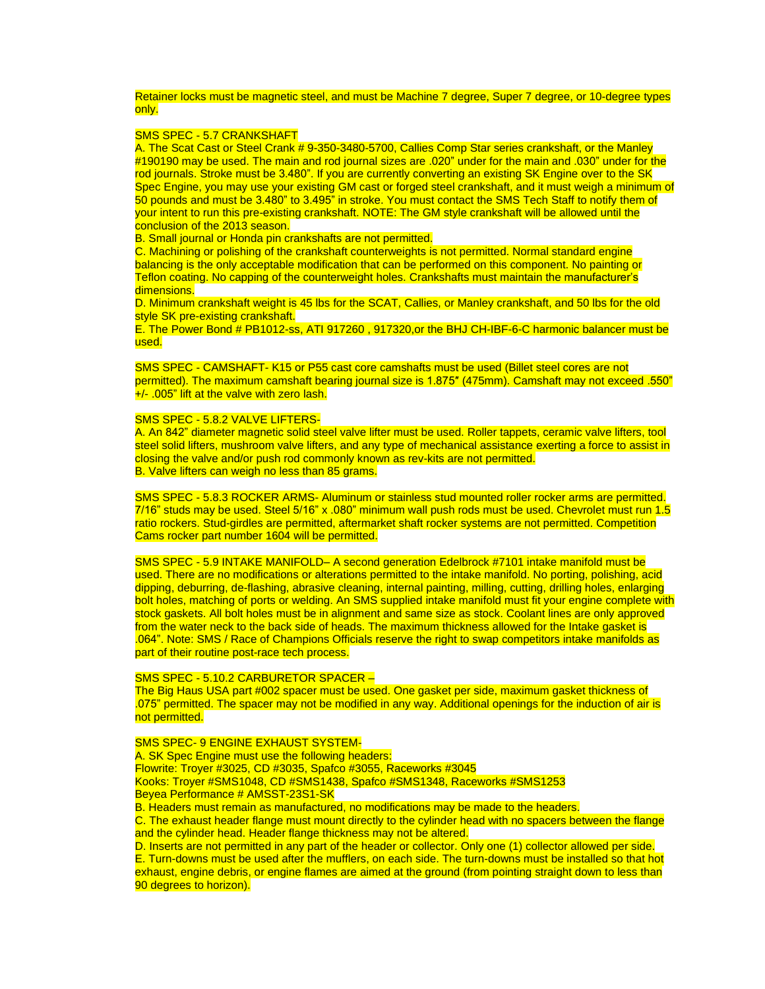Retainer locks must be magnetic steel, and must be Machine 7 degree, Super 7 degree, or 10-degree types only.

#### SMS SPEC - 5.7 CRANKSHAFT

A. The Scat Cast or Steel Crank # 9-350-3480-5700, Callies Comp Star series crankshaft, or the Manley #190190 may be used. The main and rod journal sizes are .020" under for the main and .030" under for the rod journals. Stroke must be 3.480". If you are currently converting an existing SK Engine over to the SK Spec Engine, you may use your existing GM cast or forged steel crankshaft, and it must weigh a minimum of 50 pounds and must be 3.480" to 3.495" in stroke. You must contact the SMS Tech Staff to notify them of your intent to run this pre-existing crankshaft. NOTE: The GM style crankshaft will be allowed until the conclusion of the 2013 season.

B. Small journal or Honda pin crankshafts are not permitted.

C. Machining or polishing of the crankshaft counterweights is not permitted. Normal standard engine balancing is the only acceptable modification that can be performed on this component. No painting or Teflon coating. No capping of the counterweight holes. Crankshafts must maintain the manufacturer's dimensions.

D. Minimum crankshaft weight is 45 lbs for the SCAT, Callies, or Manley crankshaft, and 50 lbs for the old style SK pre-existing crankshaft.

E. The Power Bond # PB1012-ss, ATI 917260 , 917320,or the BHJ CH-IBF-6-C harmonic balancer must be used.

SMS SPEC - CAMSHAFT- K15 or P55 cast core camshafts must be used (Billet steel cores are not permitted). The maximum camshaft bearing journal size is 1.875″ (475mm). Camshaft may not exceed .550" +/- .005" lift at the valve with zero lash.

### SMS SPEC - 5.8.2 VALVE LIFTERS-

A. An 842" diameter magnetic solid steel valve lifter must be used. Roller tappets, ceramic valve lifters, tool steel solid lifters, mushroom valve lifters, and any type of mechanical assistance exerting a force to assist in closing the valve and/or push rod commonly known as rev-kits are not permitted. B. Valve lifters can weigh no less than 85 grams.

SMS SPEC - 5.8.3 ROCKER ARMS- Aluminum or stainless stud mounted roller rocker arms are permitted. 7/16" studs may be used. Steel 5/16" x .080" minimum wall push rods must be used. Chevrolet must run 1.5 ratio rockers. Stud-girdles are permitted, aftermarket shaft rocker systems are not permitted. Competition Cams rocker part number 1604 will be permitted.

SMS SPEC - 5.9 INTAKE MANIFOLD– A second generation Edelbrock #7101 intake manifold must be used. There are no modifications or alterations permitted to the intake manifold. No porting, polishing, acid dipping, deburring, de-flashing, abrasive cleaning, internal painting, milling, cutting, drilling holes, enlarging bolt holes, matching of ports or welding. An SMS supplied intake manifold must fit your engine complete with stock gaskets. All bolt holes must be in alignment and same size as stock. Coolant lines are only approved from the water neck to the back side of heads. The maximum thickness allowed for the Intake gasket is .064". Note: SMS / Race of Champions Officials reserve the right to swap competitors intake manifolds as part of their routine post-race tech process.

### SMS SPEC - 5.10.2 CARBURETOR SPACER –

The Big Haus USA part #002 spacer must be used. One gasket per side, maximum gasket thickness of .075" permitted. The spacer may not be modified in any way. Additional openings for the induction of air is not permitted.

### SMS SPEC- 9 ENGINE EXHAUST SYSTEM-

A. SK Spec Engine must use the following headers: Flowrite: Troyer #3025, CD #3035, Spafco #3055, Raceworks #3045 Kooks: Troyer #SMS1048, CD #SMS1438, Spafco #SMS1348, Raceworks #SMS1253 Beyea Performance # AMSST-23S1-SK

B. Headers must remain as manufactured, no modifications may be made to the headers.

C. The exhaust header flange must mount directly to the cylinder head with no spacers between the flange and the cylinder head. Header flange thickness may not be altered.

D. Inserts are not permitted in any part of the header or collector. Only one (1) collector allowed per side. E. Turn-downs must be used after the mufflers, on each side. The turn-downs must be installed so that hot exhaust, engine debris, or engine flames are aimed at the ground (from pointing straight down to less than 90 degrees to horizon).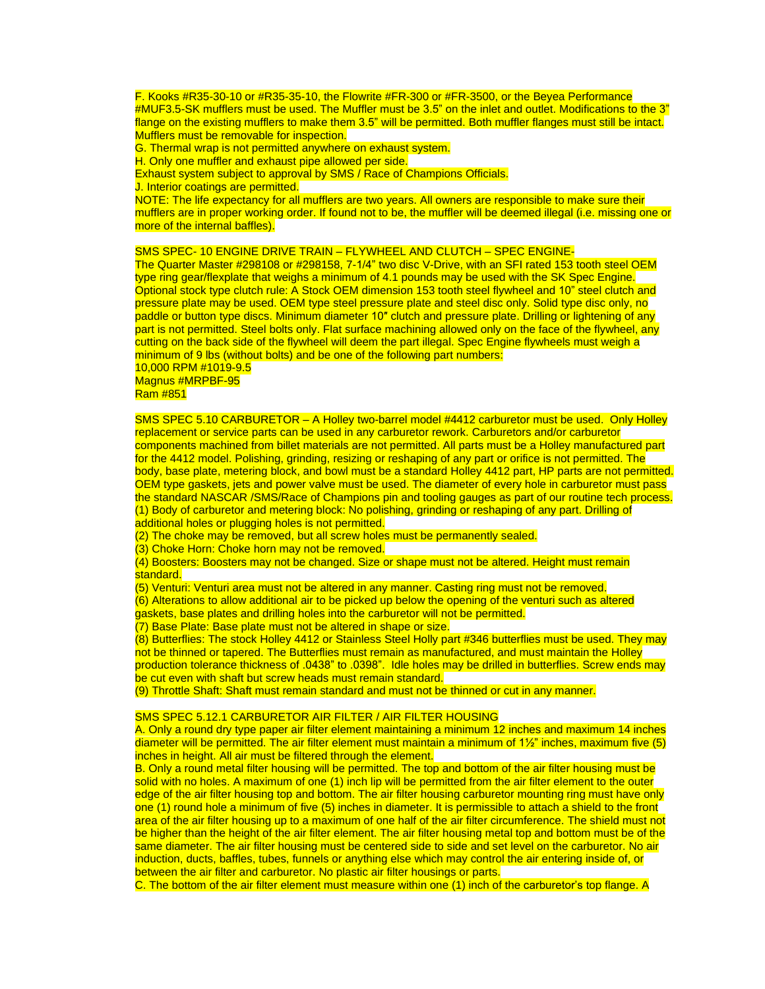F. Kooks #R35-30-10 or #R35-35-10, the Flowrite #FR-300 or #FR-3500, or the Beyea Performance #MUF3.5-SK mufflers must be used. The Muffler must be 3.5" on the inlet and outlet. Modifications to the 3" flange on the existing mufflers to make them 3.5" will be permitted. Both muffler flanges must still be intact. Mufflers must be removable for inspection.

G. Thermal wrap is not permitted anywhere on exhaust system.

H. Only one muffler and exhaust pipe allowed per side.

Exhaust system subject to approval by SMS / Race of Champions Officials.

J. Interior coatings are permitted.

NOTE: The life expectancy for all mufflers are two years. All owners are responsible to make sure their mufflers are in proper working order. If found not to be, the muffler will be deemed illegal (i.e. missing one or more of the internal baffles).

# SMS SPEC- 10 ENGINE DRIVE TRAIN – FLYWHEEL AND CLUTCH – SPEC ENGINE-

The Quarter Master #298108 or #298158, 7-1/4" two disc V-Drive, with an SFI rated 153 tooth steel OEM type ring gear/flexplate that weighs a minimum of 4.1 pounds may be used with the SK Spec Engine. Optional stock type clutch rule: A Stock OEM dimension 153 tooth steel flywheel and 10" steel clutch and pressure plate may be used. OEM type steel pressure plate and steel disc only. Solid type disc only, no paddle or button type discs. Minimum diameter 10″ clutch and pressure plate. Drilling or lightening of any part is not permitted. Steel bolts only. Flat surface machining allowed only on the face of the flywheel, any cutting on the back side of the flywheel will deem the part illegal. Spec Engine flywheels must weigh a minimum of 9 lbs (without bolts) and be one of the following part numbers:

#### 10,000 RPM #1019-9.5 Magnus #MRPBF-95 Ram #851

SMS SPEC 5.10 CARBURETOR – A Holley two-barrel model #4412 carburetor must be used. Only Holley replacement or service parts can be used in any carburetor rework. Carburetors and/or carburetor components machined from billet materials are not permitted. All parts must be a Holley manufactured part for the 4412 model. Polishing, grinding, resizing or reshaping of any part or orifice is not permitted. The body, base plate, metering block, and bowl must be a standard Holley 4412 part, HP parts are not permitted. OEM type gaskets, jets and power valve must be used. The diameter of every hole in carburetor must pass the standard NASCAR /SMS/Race of Champions pin and tooling gauges as part of our routine tech process. (1) Body of carburetor and metering block: No polishing, grinding or reshaping of any part. Drilling of additional holes or plugging holes is not permitted.

(2) The choke may be removed, but all screw holes must be permanently sealed.

(3) Choke Horn: Choke horn may not be removed.

(4) Boosters: Boosters may not be changed. Size or shape must not be altered. Height must remain standard.

(5) Venturi: Venturi area must not be altered in any manner. Casting ring must not be removed. (6) Alterations to allow additional air to be picked up below the opening of the venturi such as altered gaskets, base plates and drilling holes into the carburetor will not be permitted.

(7) Base Plate: Base plate must not be altered in shape or size.

(8) Butterflies: The stock Holley 4412 or Stainless Steel Holly part #346 butterflies must be used. They may not be thinned or tapered. The Butterflies must remain as manufactured, and must maintain the Holley production tolerance thickness of .0438" to .0398". Idle holes may be drilled in butterflies. Screw ends may be cut even with shaft but screw heads must remain standard.

(9) Throttle Shaft: Shaft must remain standard and must not be thinned or cut in any manner.

### SMS SPEC 5.12.1 CARBURETOR AIR FILTER / AIR FILTER HOUSING

A. Only a round dry type paper air filter element maintaining a minimum 12 inches and maximum 14 inches diameter will be permitted. The air filter element must maintain a minimum of  $1\frac{1}{2}$ " inches, maximum five (5) inches in height. All air must be filtered through the element.

B. Only a round metal filter housing will be permitted. The top and bottom of the air filter housing must be solid with no holes. A maximum of one (1) inch lip will be permitted from the air filter element to the outer edge of the air filter housing top and bottom. The air filter housing carburetor mounting ring must have only one (1) round hole a minimum of five (5) inches in diameter. It is permissible to attach a shield to the front area of the air filter housing up to a maximum of one half of the air filter circumference. The shield must not be higher than the height of the air filter element. The air filter housing metal top and bottom must be of the same diameter. The air filter housing must be centered side to side and set level on the carburetor. No air induction, ducts, baffles, tubes, funnels or anything else which may control the air entering inside of, or between the air filter and carburetor. No plastic air filter housings or parts.

C. The bottom of the air filter element must measure within one (1) inch of the carburetor's top flange. A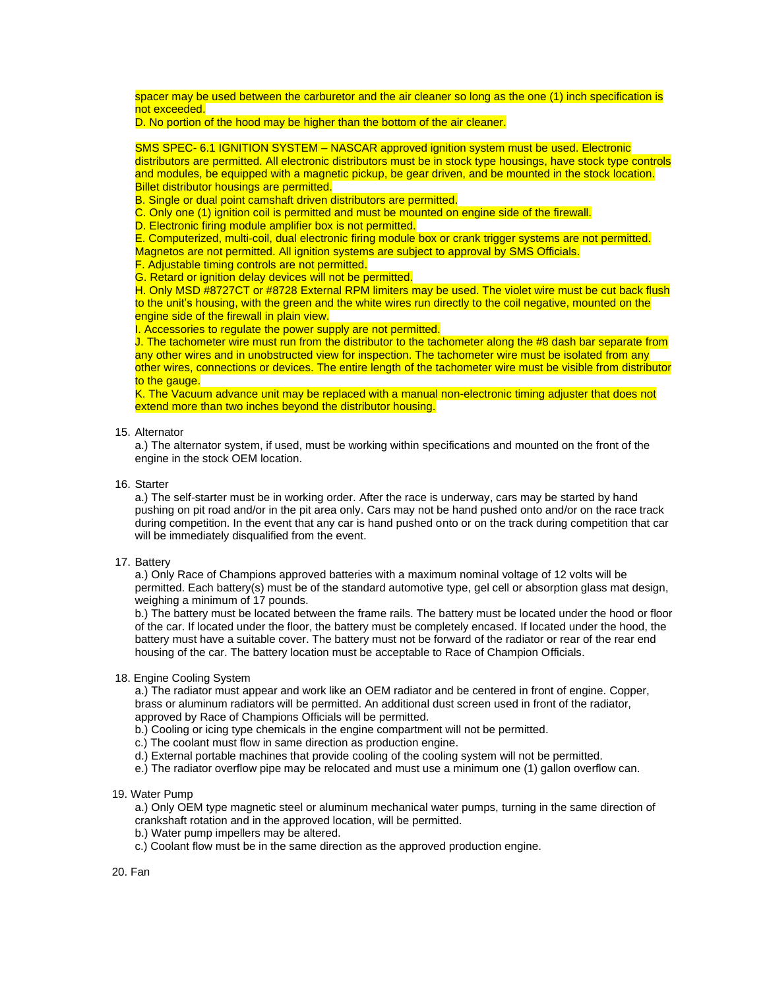spacer may be used between the carburetor and the air cleaner so long as the one (1) inch specification is not exceeded.

# D. No portion of the hood may be higher than the bottom of the air cleaner.

SMS SPEC- 6.1 IGNITION SYSTEM – NASCAR approved ignition system must be used. Electronic distributors are permitted. All electronic distributors must be in stock type housings, have stock type controls and modules, be equipped with a magnetic pickup, be gear driven, and be mounted in the stock location. Billet distributor housings are permitted.

B. Single or dual point camshaft driven distributors are permitted.

C. Only one (1) ignition coil is permitted and must be mounted on engine side of the firewall.

D. Electronic firing module amplifier box is not permitted.

E. Computerized, multi-coil, dual electronic firing module box or crank trigger systems are not permitted. Magnetos are not permitted. All ignition systems are subject to approval by SMS Officials.

F. Adjustable timing controls are not permitted.

G. Retard or ignition delay devices will not be permitted.

H. Only MSD #8727CT or #8728 External RPM limiters may be used. The violet wire must be cut back flush to the unit's housing, with the green and the white wires run directly to the coil negative, mounted on the engine side of the firewall in plain view.

I. Accessories to regulate the power supply are not permitted.

J. The tachometer wire must run from the distributor to the tachometer along the #8 dash bar separate from any other wires and in unobstructed view for inspection. The tachometer wire must be isolated from any other wires, connections or devices. The entire length of the tachometer wire must be visible from distributor to the gauge.

K. The Vacuum advance unit may be replaced with a manual non-electronic timing adjuster that does not extend more than two inches beyond the distributor housing.

### 15. Alternator

a.) The alternator system, if used, must be working within specifications and mounted on the front of the engine in the stock OEM location.

#### 16. Starter

a.) The self-starter must be in working order. After the race is underway, cars may be started by hand pushing on pit road and/or in the pit area only. Cars may not be hand pushed onto and/or on the race track during competition. In the event that any car is hand pushed onto or on the track during competition that car will be immediately disqualified from the event.

### 17. Battery

a.) Only Race of Champions approved batteries with a maximum nominal voltage of 12 volts will be permitted. Each battery(s) must be of the standard automotive type, gel cell or absorption glass mat design, weighing a minimum of 17 pounds.

b.) The battery must be located between the frame rails. The battery must be located under the hood or floor of the car. If located under the floor, the battery must be completely encased. If located under the hood, the battery must have a suitable cover. The battery must not be forward of the radiator or rear of the rear end housing of the car. The battery location must be acceptable to Race of Champion Officials.

### 18. Engine Cooling System

a.) The radiator must appear and work like an OEM radiator and be centered in front of engine. Copper, brass or aluminum radiators will be permitted. An additional dust screen used in front of the radiator, approved by Race of Champions Officials will be permitted.

b.) Cooling or icing type chemicals in the engine compartment will not be permitted.

c.) The coolant must flow in same direction as production engine.

d.) External portable machines that provide cooling of the cooling system will not be permitted.

e.) The radiator overflow pipe may be relocated and must use a minimum one (1) gallon overflow can.

# 19. Water Pump

a.) Only OEM type magnetic steel or aluminum mechanical water pumps, turning in the same direction of crankshaft rotation and in the approved location, will be permitted.

- b.) Water pump impellers may be altered.
- c.) Coolant flow must be in the same direction as the approved production engine.

20. Fan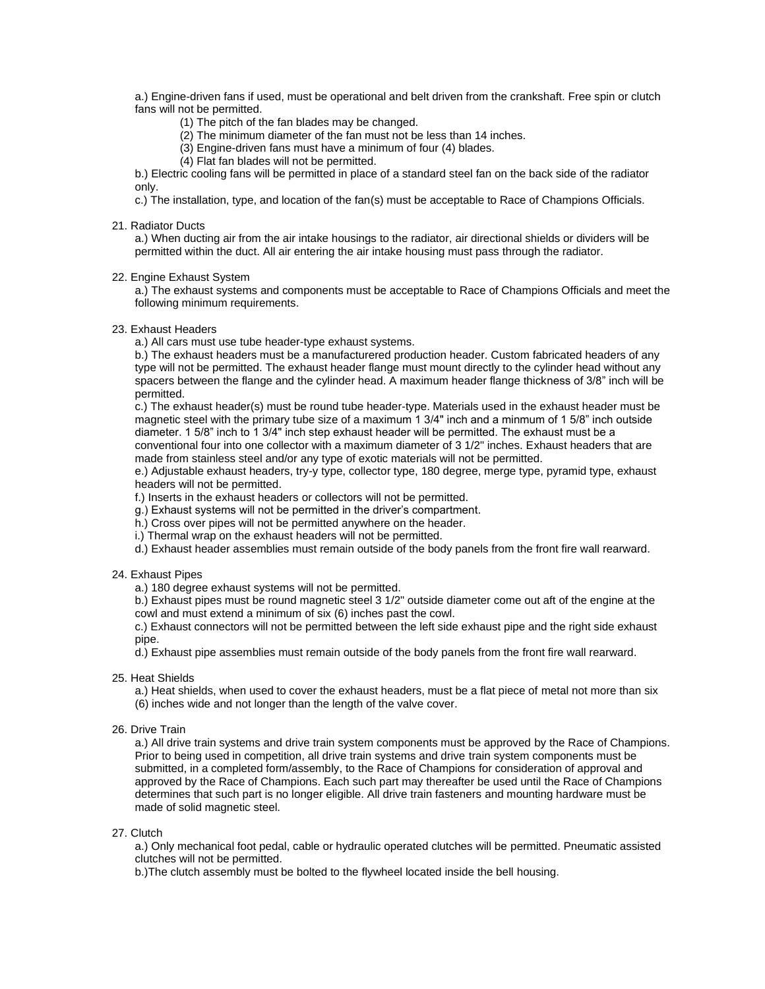a.) Engine-driven fans if used, must be operational and belt driven from the crankshaft. Free spin or clutch fans will not be permitted.

- (1) The pitch of the fan blades may be changed.
- (2) The minimum diameter of the fan must not be less than 14 inches.
- (3) Engine-driven fans must have a minimum of four (4) blades.
- (4) Flat fan blades will not be permitted.

b.) Electric cooling fans will be permitted in place of a standard steel fan on the back side of the radiator only.

c.) The installation, type, and location of the fan(s) must be acceptable to Race of Champions Officials.

# 21. Radiator Ducts

a.) When ducting air from the air intake housings to the radiator, air directional shields or dividers will be permitted within the duct. All air entering the air intake housing must pass through the radiator.

### 22. Engine Exhaust System

a.) The exhaust systems and components must be acceptable to Race of Champions Officials and meet the following minimum requirements.

23. Exhaust Headers

a.) All cars must use tube header-type exhaust systems.

b.) The exhaust headers must be a manufacturered production header. Custom fabricated headers of any type will not be permitted. The exhaust header flange must mount directly to the cylinder head without any spacers between the flange and the cylinder head. A maximum header flange thickness of 3/8" inch will be permitted.

c.) The exhaust header(s) must be round tube header-type. Materials used in the exhaust header must be magnetic steel with the primary tube size of a maximum 1 3/4" inch and a minmum of 1 5/8" inch outside diameter. 1 5/8" inch to 1 3/4" inch step exhaust header will be permitted. The exhaust must be a conventional four into one collector with a maximum diameter of 3 1/2" inches. Exhaust headers that are

made from stainless steel and/or any type of exotic materials will not be permitted.

e.) Adjustable exhaust headers, try-y type, collector type, 180 degree, merge type, pyramid type, exhaust headers will not be permitted.

f.) Inserts in the exhaust headers or collectors will not be permitted.

g.) Exhaust systems will not be permitted in the driver's compartment.

h.) Cross over pipes will not be permitted anywhere on the header.

i.) Thermal wrap on the exhaust headers will not be permitted.

d.) Exhaust header assemblies must remain outside of the body panels from the front fire wall rearward.

#### 24. Exhaust Pipes

a.) 180 degree exhaust systems will not be permitted.

b.) Exhaust pipes must be round magnetic steel 3 1/2" outside diameter come out aft of the engine at the cowl and must extend a minimum of six (6) inches past the cowl.

c.) Exhaust connectors will not be permitted between the left side exhaust pipe and the right side exhaust pipe.

d.) Exhaust pipe assemblies must remain outside of the body panels from the front fire wall rearward.

25. Heat Shields

a.) Heat shields, when used to cover the exhaust headers, must be a flat piece of metal not more than six (6) inches wide and not longer than the length of the valve cover.

26. Drive Train

a.) All drive train systems and drive train system components must be approved by the Race of Champions. Prior to being used in competition, all drive train systems and drive train system components must be submitted, in a completed form/assembly, to the Race of Champions for consideration of approval and approved by the Race of Champions. Each such part may thereafter be used until the Race of Champions determines that such part is no longer eligible. All drive train fasteners and mounting hardware must be made of solid magnetic steel.

### 27. Clutch

a.) Only mechanical foot pedal, cable or hydraulic operated clutches will be permitted. Pneumatic assisted clutches will not be permitted.

b.)The clutch assembly must be bolted to the flywheel located inside the bell housing.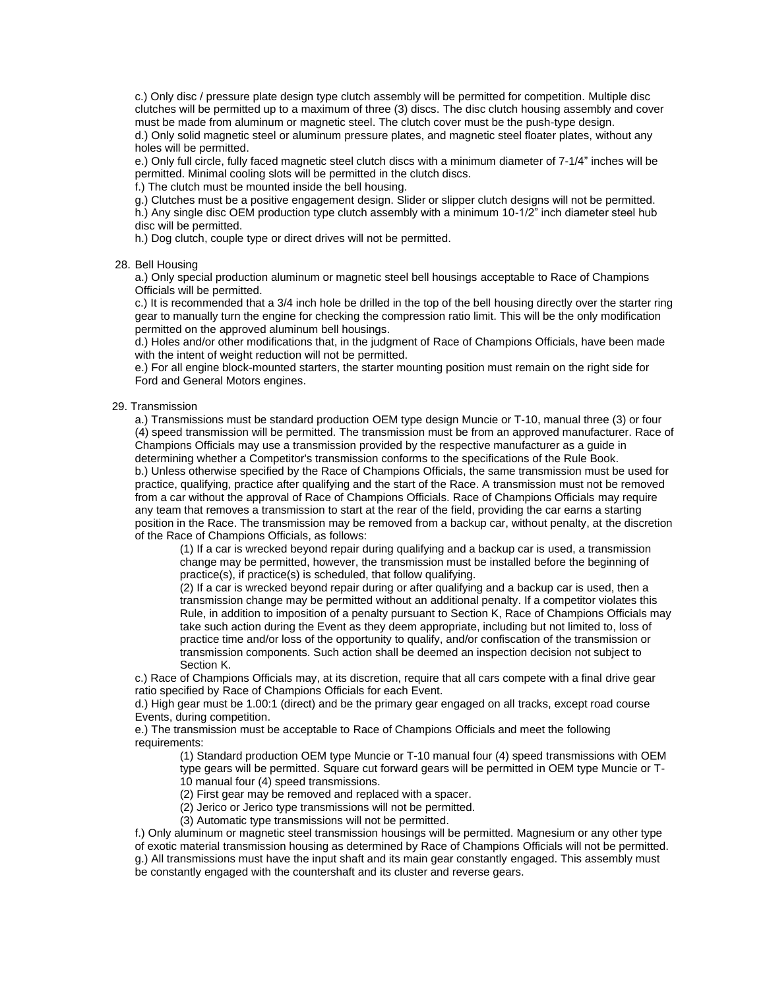c.) Only disc / pressure plate design type clutch assembly will be permitted for competition. Multiple disc clutches will be permitted up to a maximum of three (3) discs. The disc clutch housing assembly and cover must be made from aluminum or magnetic steel. The clutch cover must be the push-type design. d.) Only solid magnetic steel or aluminum pressure plates, and magnetic steel floater plates, without any holes will be permitted.

e.) Only full circle, fully faced magnetic steel clutch discs with a minimum diameter of 7-1/4" inches will be permitted. Minimal cooling slots will be permitted in the clutch discs.

f.) The clutch must be mounted inside the bell housing.

g.) Clutches must be a positive engagement design. Slider or slipper clutch designs will not be permitted. h.) Any single disc OEM production type clutch assembly with a minimum 10-1/2" inch diameter steel hub

disc will be permitted.

h.) Dog clutch, couple type or direct drives will not be permitted.

#### 28. Bell Housing

a.) Only special production aluminum or magnetic steel bell housings acceptable to Race of Champions Officials will be permitted.

c.) It is recommended that a 3/4 inch hole be drilled in the top of the bell housing directly over the starter ring gear to manually turn the engine for checking the compression ratio limit. This will be the only modification permitted on the approved aluminum bell housings.

d.) Holes and/or other modifications that, in the judgment of Race of Champions Officials, have been made with the intent of weight reduction will not be permitted.

e.) For all engine block-mounted starters, the starter mounting position must remain on the right side for Ford and General Motors engines.

### 29. Transmission

a.) Transmissions must be standard production OEM type design Muncie or T-10, manual three (3) or four (4) speed transmission will be permitted. The transmission must be from an approved manufacturer. Race of Champions Officials may use a transmission provided by the respective manufacturer as a guide in determining whether a Competitor's transmission conforms to the specifications of the Rule Book. b.) Unless otherwise specified by the Race of Champions Officials, the same transmission must be used for practice, qualifying, practice after qualifying and the start of the Race. A transmission must not be removed from a car without the approval of Race of Champions Officials. Race of Champions Officials may require any team that removes a transmission to start at the rear of the field, providing the car earns a starting position in the Race. The transmission may be removed from a backup car, without penalty, at the discretion of the Race of Champions Officials, as follows:

(1) If a car is wrecked beyond repair during qualifying and a backup car is used, a transmission change may be permitted, however, the transmission must be installed before the beginning of practice(s), if practice(s) is scheduled, that follow qualifying.

(2) If a car is wrecked beyond repair during or after qualifying and a backup car is used, then a transmission change may be permitted without an additional penalty. If a competitor violates this Rule, in addition to imposition of a penalty pursuant to Section K, Race of Champions Officials may take such action during the Event as they deem appropriate, including but not limited to, loss of practice time and/or loss of the opportunity to qualify, and/or confiscation of the transmission or transmission components. Such action shall be deemed an inspection decision not subject to Section K.

c.) Race of Champions Officials may, at its discretion, require that all cars compete with a final drive gear ratio specified by Race of Champions Officials for each Event.

d.) High gear must be 1.00:1 (direct) and be the primary gear engaged on all tracks, except road course Events, during competition.

e.) The transmission must be acceptable to Race of Champions Officials and meet the following requirements:

(1) Standard production OEM type Muncie or T-10 manual four (4) speed transmissions with OEM type gears will be permitted. Square cut forward gears will be permitted in OEM type Muncie or T-10 manual four (4) speed transmissions.

(2) First gear may be removed and replaced with a spacer.

(2) Jerico or Jerico type transmissions will not be permitted.

(3) Automatic type transmissions will not be permitted.

f.) Only aluminum or magnetic steel transmission housings will be permitted. Magnesium or any other type of exotic material transmission housing as determined by Race of Champions Officials will not be permitted. g.) All transmissions must have the input shaft and its main gear constantly engaged. This assembly must be constantly engaged with the countershaft and its cluster and reverse gears.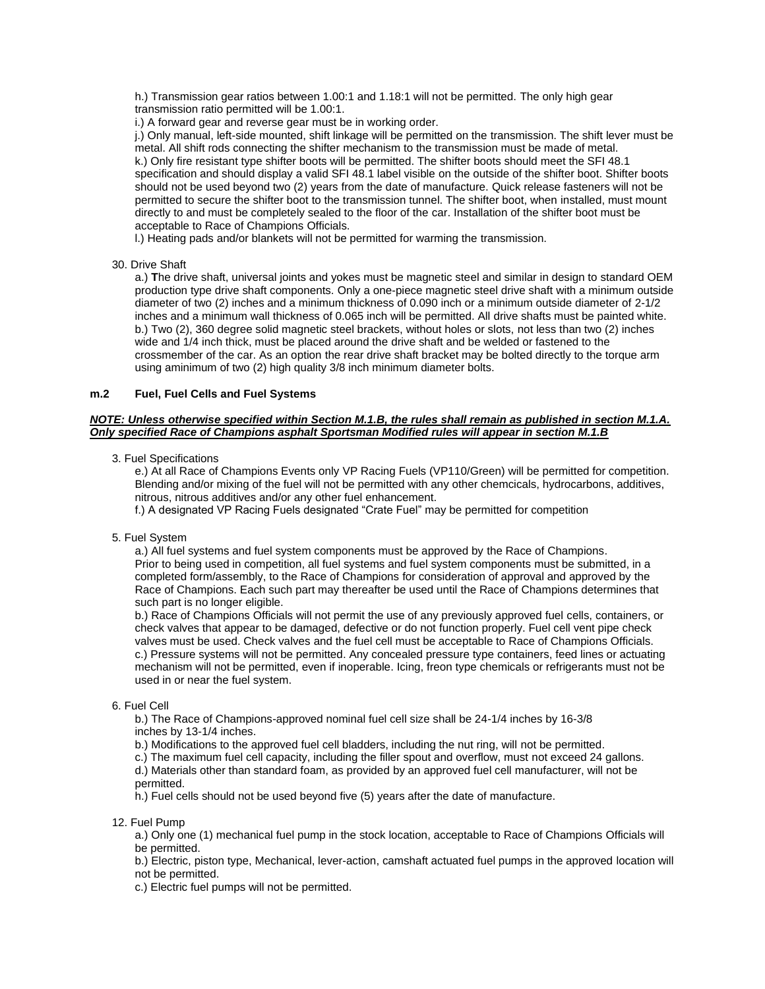h.) Transmission gear ratios between 1.00:1 and 1.18:1 will not be permitted. The only high gear transmission ratio permitted will be 1.00:1.

i.) A forward gear and reverse gear must be in working order.

j.) Only manual, left-side mounted, shift linkage will be permitted on the transmission. The shift lever must be metal. All shift rods connecting the shifter mechanism to the transmission must be made of metal. k.) Only fire resistant type shifter boots will be permitted. The shifter boots should meet the SFI 48.1 specification and should display a valid SFI 48.1 label visible on the outside of the shifter boot. Shifter boots should not be used beyond two (2) years from the date of manufacture. Quick release fasteners will not be permitted to secure the shifter boot to the transmission tunnel. The shifter boot, when installed, must mount directly to and must be completely sealed to the floor of the car. Installation of the shifter boot must be acceptable to Race of Champions Officials.

l.) Heating pads and/or blankets will not be permitted for warming the transmission.

30. Drive Shaft

a.) **T**he drive shaft, universal joints and yokes must be magnetic steel and similar in design to standard OEM production type drive shaft components. Only a one-piece magnetic steel drive shaft with a minimum outside diameter of two (2) inches and a minimum thickness of 0.090 inch or a minimum outside diameter of 2-1/2 inches and a minimum wall thickness of 0.065 inch will be permitted. All drive shafts must be painted white. b.) Two (2), 360 degree solid magnetic steel brackets, without holes or slots, not less than two (2) inches wide and 1/4 inch thick, must be placed around the drive shaft and be welded or fastened to the crossmember of the car. As an option the rear drive shaft bracket may be bolted directly to the torque arm using aminimum of two (2) high quality 3/8 inch minimum diameter bolts.

### **m.2 Fuel, Fuel Cells and Fuel Systems**

# *NOTE: Unless otherwise specified within Section M.1.B, the rules shall remain as published in section M.1.A. Only specified Race of Champions asphalt Sportsman Modified rules will appear in section M.1.B*

# 3. Fuel Specifications

e.) At all Race of Champions Events only VP Racing Fuels (VP110/Green) will be permitted for competition. Blending and/or mixing of the fuel will not be permitted with any other chemcicals, hydrocarbons, additives, nitrous, nitrous additives and/or any other fuel enhancement.

f.) A designated VP Racing Fuels designated "Crate Fuel" may be permitted for competition

5. Fuel System

a.) All fuel systems and fuel system components must be approved by the Race of Champions. Prior to being used in competition, all fuel systems and fuel system components must be submitted, in a completed form/assembly, to the Race of Champions for consideration of approval and approved by the Race of Champions. Each such part may thereafter be used until the Race of Champions determines that such part is no longer eligible.

b.) Race of Champions Officials will not permit the use of any previously approved fuel cells, containers, or check valves that appear to be damaged, defective or do not function properly. Fuel cell vent pipe check valves must be used. Check valves and the fuel cell must be acceptable to Race of Champions Officials. c.) Pressure systems will not be permitted. Any concealed pressure type containers, feed lines or actuating mechanism will not be permitted, even if inoperable. Icing, freon type chemicals or refrigerants must not be used in or near the fuel system.

#### 6. Fuel Cell

b.) The Race of Champions-approved nominal fuel cell size shall be 24-1/4 inches by 16-3/8 inches by 13-1/4 inches.

b.) Modifications to the approved fuel cell bladders, including the nut ring, will not be permitted.

c.) The maximum fuel cell capacity, including the filler spout and overflow, must not exceed 24 gallons.

d.) Materials other than standard foam, as provided by an approved fuel cell manufacturer, will not be permitted.

h.) Fuel cells should not be used beyond five (5) years after the date of manufacture.

12. Fuel Pump

a.) Only one (1) mechanical fuel pump in the stock location, acceptable to Race of Champions Officials will be permitted.

b.) Electric, piston type, Mechanical, lever-action, camshaft actuated fuel pumps in the approved location will not be permitted.

c.) Electric fuel pumps will not be permitted.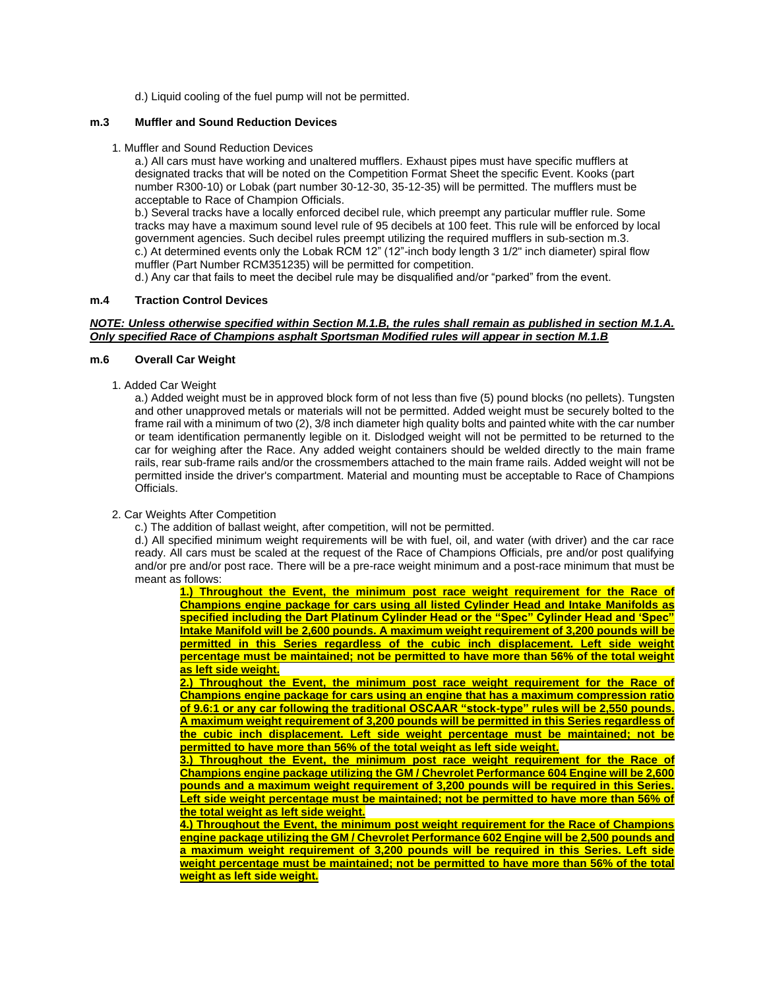d.) Liquid cooling of the fuel pump will not be permitted.

# **m.3 Muffler and Sound Reduction Devices**

1. Muffler and Sound Reduction Devices

a.) All cars must have working and unaltered mufflers. Exhaust pipes must have specific mufflers at designated tracks that will be noted on the Competition Format Sheet the specific Event. Kooks (part number R300-10) or Lobak (part number 30-12-30, 35-12-35) will be permitted. The mufflers must be acceptable to Race of Champion Officials.

b.) Several tracks have a locally enforced decibel rule, which preempt any particular muffler rule. Some tracks may have a maximum sound level rule of 95 decibels at 100 feet. This rule will be enforced by local government agencies. Such decibel rules preempt utilizing the required mufflers in sub-section m.3. c.) At determined events only the Lobak RCM 12" (12"-inch body length 3 1/2" inch diameter) spiral flow muffler (Part Number RCM351235) will be permitted for competition.

d.) Any car that fails to meet the decibel rule may be disqualified and/or "parked" from the event.

### **m.4 Traction Control Devices**

### *NOTE: Unless otherwise specified within Section M.1.B, the rules shall remain as published in section M.1.A. Only specified Race of Champions asphalt Sportsman Modified rules will appear in section M.1.B*

### **m.6 Overall Car Weight**

1. Added Car Weight

a.) Added weight must be in approved block form of not less than five (5) pound blocks (no pellets). Tungsten and other unapproved metals or materials will not be permitted. Added weight must be securely bolted to the frame rail with a minimum of two (2), 3/8 inch diameter high quality bolts and painted white with the car number or team identification permanently legible on it. Dislodged weight will not be permitted to be returned to the car for weighing after the Race. Any added weight containers should be welded directly to the main frame rails, rear sub-frame rails and/or the crossmembers attached to the main frame rails. Added weight will not be permitted inside the driver's compartment. Material and mounting must be acceptable to Race of Champions Officials.

# 2. Car Weights After Competition

c.) The addition of ballast weight, after competition, will not be permitted.

d.) All specified minimum weight requirements will be with fuel, oil, and water (with driver) and the car race ready. All cars must be scaled at the request of the Race of Champions Officials, pre and/or post qualifying and/or pre and/or post race. There will be a pre-race weight minimum and a post-race minimum that must be meant as follows:

**1.) Throughout the Event, the minimum post race weight requirement for the Race of Champions engine package for cars using all listed Cylinder Head and Intake Manifolds as specified including the Dart Platinum Cylinder Head or the "Spec" Cylinder Head and 'Spec" Intake Manifold will be 2,600 pounds. A maximum weight requirement of 3,200 pounds will be permitted in this Series regardless of the cubic inch displacement. Left side weight percentage must be maintained; not be permitted to have more than 56% of the total weight as left side weight.**

**2.) Throughout the Event, the minimum post race weight requirement for the Race of Champions engine package for cars using an engine that has a maximum compression ratio of 9.6:1 or any car following the traditional OSCAAR "stock-type" rules will be 2,550 pounds. A maximum weight requirement of 3,200 pounds will be permitted in this Series regardless of the cubic inch displacement. Left side weight percentage must be maintained; not be permitted to have more than 56% of the total weight as left side weight.**

**3.) Throughout the Event, the minimum post race weight requirement for the Race of Champions engine package utilizing the GM / Chevrolet Performance 604 Engine will be 2,600 pounds and a maximum weight requirement of 3,200 pounds will be required in this Series. Left side weight percentage must be maintained; not be permitted to have more than 56% of the total weight as left side weight.**

**4.) Throughout the Event, the minimum post weight requirement for the Race of Champions engine package utilizing the GM / Chevrolet Performance 602 Engine will be 2,500 pounds and a maximum weight requirement of 3,200 pounds will be required in this Series. Left side weight percentage must be maintained; not be permitted to have more than 56% of the total weight as left side weight.**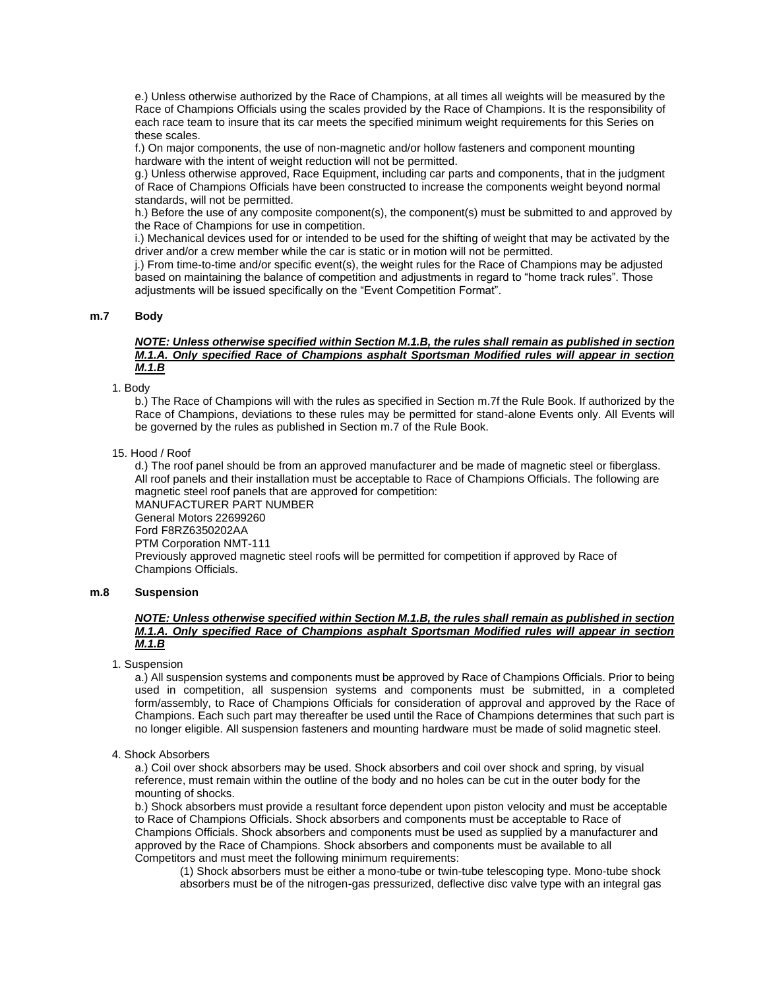e.) Unless otherwise authorized by the Race of Champions, at all times all weights will be measured by the Race of Champions Officials using the scales provided by the Race of Champions. It is the responsibility of each race team to insure that its car meets the specified minimum weight requirements for this Series on these scales.

f.) On major components, the use of non-magnetic and/or hollow fasteners and component mounting hardware with the intent of weight reduction will not be permitted.

g.) Unless otherwise approved, Race Equipment, including car parts and components, that in the judgment of Race of Champions Officials have been constructed to increase the components weight beyond normal standards, will not be permitted.

h.) Before the use of any composite component(s), the component(s) must be submitted to and approved by the Race of Champions for use in competition.

i.) Mechanical devices used for or intended to be used for the shifting of weight that may be activated by the driver and/or a crew member while the car is static or in motion will not be permitted.

j.) From time-to-time and/or specific event(s), the weight rules for the Race of Champions may be adjusted based on maintaining the balance of competition and adjustments in regard to "home track rules". Those adjustments will be issued specifically on the "Event Competition Format".

# **m.7 Body**

#### *NOTE: Unless otherwise specified within Section M.1.B, the rules shall remain as published in section M.1.A. Only specified Race of Champions asphalt Sportsman Modified rules will appear in section M.1.B*

1. Body

b.) The Race of Champions will with the rules as specified in Section m.7f the Rule Book. If authorized by the Race of Champions, deviations to these rules may be permitted for stand-alone Events only. All Events will be governed by the rules as published in Section m.7 of the Rule Book.

15. Hood / Roof

d.) The roof panel should be from an approved manufacturer and be made of magnetic steel or fiberglass. All roof panels and their installation must be acceptable to Race of Champions Officials. The following are magnetic steel roof panels that are approved for competition: MANUFACTURER PART NUMBER General Motors 22699260 Ford F8RZ6350202AA PTM Corporation NMT-111 Previously approved magnetic steel roofs will be permitted for competition if approved by Race of Champions Officials.

#### **m.8 Suspension**

# *NOTE: Unless otherwise specified within Section M.1.B, the rules shall remain as published in section M.1.A. Only specified Race of Champions asphalt Sportsman Modified rules will appear in section M.1.B*

1. Suspension

a.) All suspension systems and components must be approved by Race of Champions Officials. Prior to being used in competition, all suspension systems and components must be submitted, in a completed form/assembly, to Race of Champions Officials for consideration of approval and approved by the Race of Champions. Each such part may thereafter be used until the Race of Champions determines that such part is no longer eligible. All suspension fasteners and mounting hardware must be made of solid magnetic steel.

#### 4. Shock Absorbers

a.) Coil over shock absorbers may be used. Shock absorbers and coil over shock and spring, by visual reference, must remain within the outline of the body and no holes can be cut in the outer body for the mounting of shocks.

b.) Shock absorbers must provide a resultant force dependent upon piston velocity and must be acceptable to Race of Champions Officials. Shock absorbers and components must be acceptable to Race of Champions Officials. Shock absorbers and components must be used as supplied by a manufacturer and approved by the Race of Champions. Shock absorbers and components must be available to all Competitors and must meet the following minimum requirements:

(1) Shock absorbers must be either a mono-tube or twin-tube telescoping type. Mono-tube shock absorbers must be of the nitrogen-gas pressurized, deflective disc valve type with an integral gas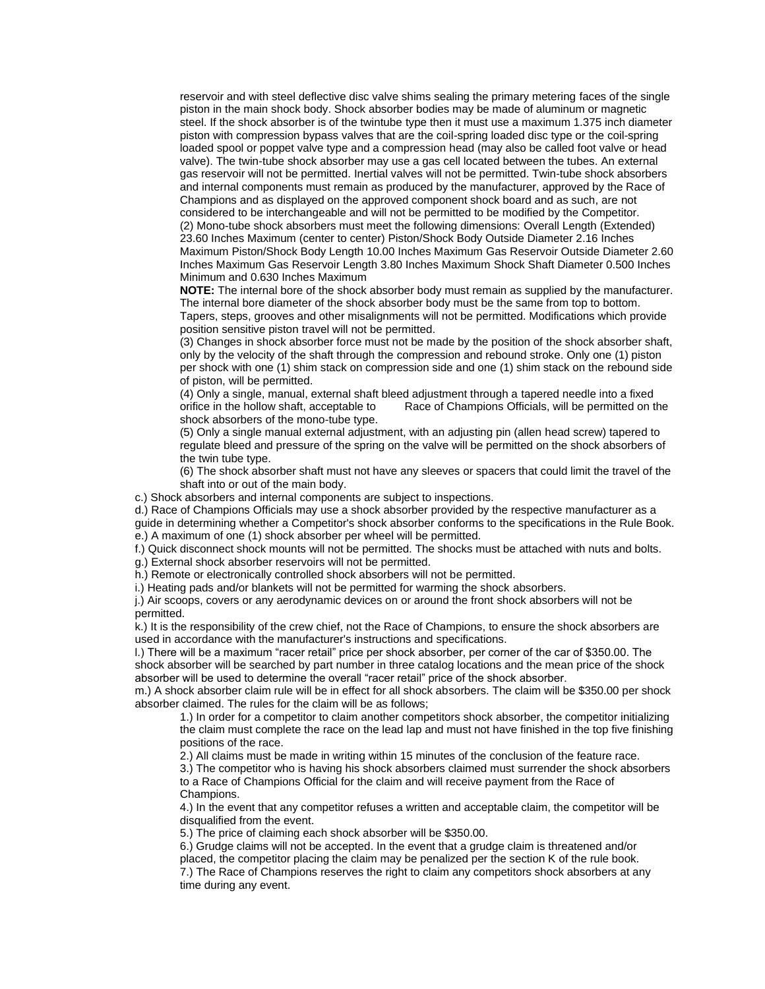reservoir and with steel deflective disc valve shims sealing the primary metering faces of the single piston in the main shock body. Shock absorber bodies may be made of aluminum or magnetic steel. If the shock absorber is of the twintube type then it must use a maximum 1.375 inch diameter piston with compression bypass valves that are the coil-spring loaded disc type or the coil-spring loaded spool or poppet valve type and a compression head (may also be called foot valve or head valve). The twin-tube shock absorber may use a gas cell located between the tubes. An external gas reservoir will not be permitted. Inertial valves will not be permitted. Twin-tube shock absorbers and internal components must remain as produced by the manufacturer, approved by the Race of Champions and as displayed on the approved component shock board and as such, are not considered to be interchangeable and will not be permitted to be modified by the Competitor. (2) Mono-tube shock absorbers must meet the following dimensions: Overall Length (Extended) 23.60 Inches Maximum (center to center) Piston/Shock Body Outside Diameter 2.16 Inches Maximum Piston/Shock Body Length 10.00 Inches Maximum Gas Reservoir Outside Diameter 2.60 Inches Maximum Gas Reservoir Length 3.80 Inches Maximum Shock Shaft Diameter 0.500 Inches Minimum and 0.630 Inches Maximum

**NOTE:** The internal bore of the shock absorber body must remain as supplied by the manufacturer. The internal bore diameter of the shock absorber body must be the same from top to bottom. Tapers, steps, grooves and other misalignments will not be permitted. Modifications which provide position sensitive piston travel will not be permitted.

(3) Changes in shock absorber force must not be made by the position of the shock absorber shaft, only by the velocity of the shaft through the compression and rebound stroke. Only one (1) piston per shock with one (1) shim stack on compression side and one (1) shim stack on the rebound side of piston, will be permitted.

(4) Only a single, manual, external shaft bleed adjustment through a tapered needle into a fixed orifice in the hollow shaft, acceptable to Race of Champions Officials, will be permitted on the shock absorbers of the mono-tube type.

(5) Only a single manual external adjustment, with an adjusting pin (allen head screw) tapered to regulate bleed and pressure of the spring on the valve will be permitted on the shock absorbers of the twin tube type.

(6) The shock absorber shaft must not have any sleeves or spacers that could limit the travel of the shaft into or out of the main body.

c.) Shock absorbers and internal components are subject to inspections.

d.) Race of Champions Officials may use a shock absorber provided by the respective manufacturer as a guide in determining whether a Competitor's shock absorber conforms to the specifications in the Rule Book. e.) A maximum of one (1) shock absorber per wheel will be permitted.

f.) Quick disconnect shock mounts will not be permitted. The shocks must be attached with nuts and bolts.

g.) External shock absorber reservoirs will not be permitted.

h.) Remote or electronically controlled shock absorbers will not be permitted.

i.) Heating pads and/or blankets will not be permitted for warming the shock absorbers.

j.) Air scoops, covers or any aerodynamic devices on or around the front shock absorbers will not be permitted.

k.) It is the responsibility of the crew chief, not the Race of Champions, to ensure the shock absorbers are used in accordance with the manufacturer's instructions and specifications.

l.) There will be a maximum "racer retail" price per shock absorber, per corner of the car of \$350.00. The shock absorber will be searched by part number in three catalog locations and the mean price of the shock absorber will be used to determine the overall "racer retail" price of the shock absorber.

m.) A shock absorber claim rule will be in effect for all shock absorbers. The claim will be \$350.00 per shock absorber claimed. The rules for the claim will be as follows;

1.) In order for a competitor to claim another competitors shock absorber, the competitor initializing the claim must complete the race on the lead lap and must not have finished in the top five finishing positions of the race.

2.) All claims must be made in writing within 15 minutes of the conclusion of the feature race.

3.) The competitor who is having his shock absorbers claimed must surrender the shock absorbers to a Race of Champions Official for the claim and will receive payment from the Race of Champions.

4.) In the event that any competitor refuses a written and acceptable claim, the competitor will be disqualified from the event.

5.) The price of claiming each shock absorber will be \$350.00.

6.) Grudge claims will not be accepted. In the event that a grudge claim is threatened and/or placed, the competitor placing the claim may be penalized per the section K of the rule book. 7.) The Race of Champions reserves the right to claim any competitors shock absorbers at any time during any event.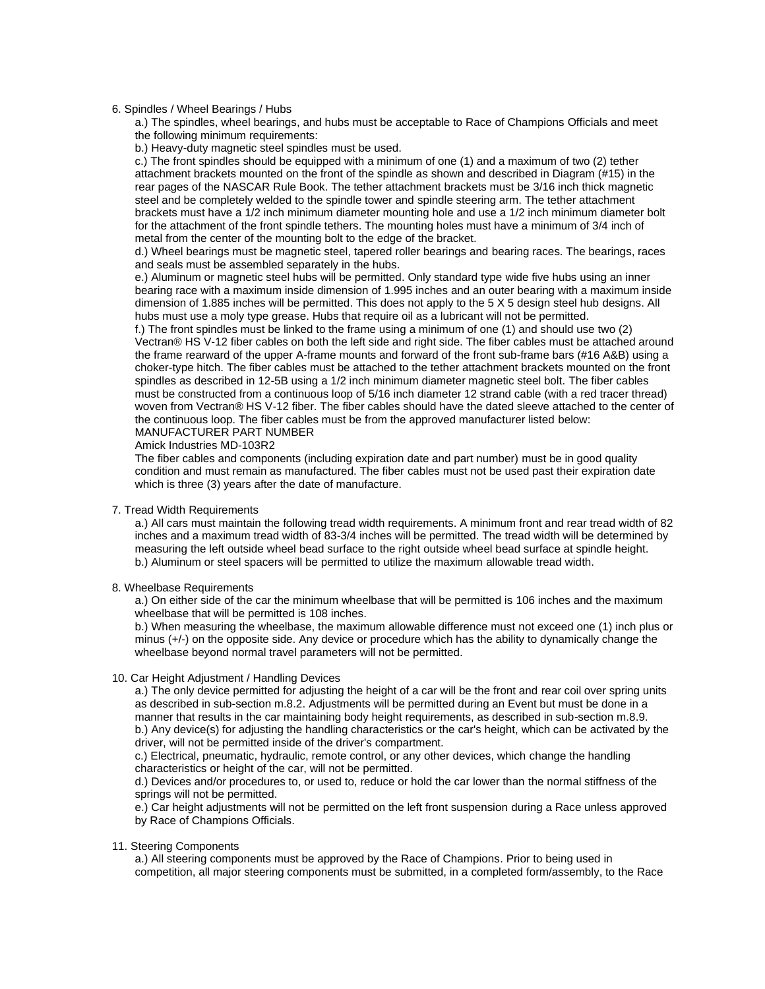#### 6. Spindles / Wheel Bearings / Hubs

a.) The spindles, wheel bearings, and hubs must be acceptable to Race of Champions Officials and meet the following minimum requirements:

b.) Heavy-duty magnetic steel spindles must be used.

c.) The front spindles should be equipped with a minimum of one (1) and a maximum of two (2) tether attachment brackets mounted on the front of the spindle as shown and described in Diagram (#15) in the rear pages of the NASCAR Rule Book. The tether attachment brackets must be 3/16 inch thick magnetic steel and be completely welded to the spindle tower and spindle steering arm. The tether attachment brackets must have a 1/2 inch minimum diameter mounting hole and use a 1/2 inch minimum diameter bolt for the attachment of the front spindle tethers. The mounting holes must have a minimum of 3/4 inch of metal from the center of the mounting bolt to the edge of the bracket.

d.) Wheel bearings must be magnetic steel, tapered roller bearings and bearing races. The bearings, races and seals must be assembled separately in the hubs.

e.) Aluminum or magnetic steel hubs will be permitted. Only standard type wide five hubs using an inner bearing race with a maximum inside dimension of 1.995 inches and an outer bearing with a maximum inside dimension of 1.885 inches will be permitted. This does not apply to the 5 X 5 design steel hub designs. All hubs must use a moly type grease. Hubs that require oil as a lubricant will not be permitted.

f.) The front spindles must be linked to the frame using a minimum of one (1) and should use two (2) Vectran® HS V-12 fiber cables on both the left side and right side. The fiber cables must be attached around the frame rearward of the upper A-frame mounts and forward of the front sub-frame bars (#16 A&B) using a choker-type hitch. The fiber cables must be attached to the tether attachment brackets mounted on the front spindles as described in 12-5B using a 1/2 inch minimum diameter magnetic steel bolt. The fiber cables must be constructed from a continuous loop of 5/16 inch diameter 12 strand cable (with a red tracer thread) woven from Vectran® HS V-12 fiber. The fiber cables should have the dated sleeve attached to the center of the continuous loop. The fiber cables must be from the approved manufacturer listed below: MANUFACTURER PART NUMBER

Amick Industries MD-103R2

The fiber cables and components (including expiration date and part number) must be in good quality condition and must remain as manufactured. The fiber cables must not be used past their expiration date which is three (3) years after the date of manufacture.

# 7. Tread Width Requirements

a.) All cars must maintain the following tread width requirements. A minimum front and rear tread width of 82 inches and a maximum tread width of 83-3/4 inches will be permitted. The tread width will be determined by measuring the left outside wheel bead surface to the right outside wheel bead surface at spindle height. b.) Aluminum or steel spacers will be permitted to utilize the maximum allowable tread width.

# 8. Wheelbase Requirements

a.) On either side of the car the minimum wheelbase that will be permitted is 106 inches and the maximum wheelbase that will be permitted is 108 inches.

b.) When measuring the wheelbase, the maximum allowable difference must not exceed one (1) inch plus or minus (+/-) on the opposite side. Any device or procedure which has the ability to dynamically change the wheelbase beyond normal travel parameters will not be permitted.

# 10. Car Height Adjustment / Handling Devices

a.) The only device permitted for adjusting the height of a car will be the front and rear coil over spring units as described in sub-section m.8.2. Adjustments will be permitted during an Event but must be done in a manner that results in the car maintaining body height requirements, as described in sub-section m.8.9. b.) Any device(s) for adjusting the handling characteristics or the car's height, which can be activated by the driver, will not be permitted inside of the driver's compartment.

c.) Electrical, pneumatic, hydraulic, remote control, or any other devices, which change the handling characteristics or height of the car, will not be permitted.

d.) Devices and/or procedures to, or used to, reduce or hold the car lower than the normal stiffness of the springs will not be permitted.

e.) Car height adjustments will not be permitted on the left front suspension during a Race unless approved by Race of Champions Officials.

# 11. Steering Components

a.) All steering components must be approved by the Race of Champions. Prior to being used in competition, all major steering components must be submitted, in a completed form/assembly, to the Race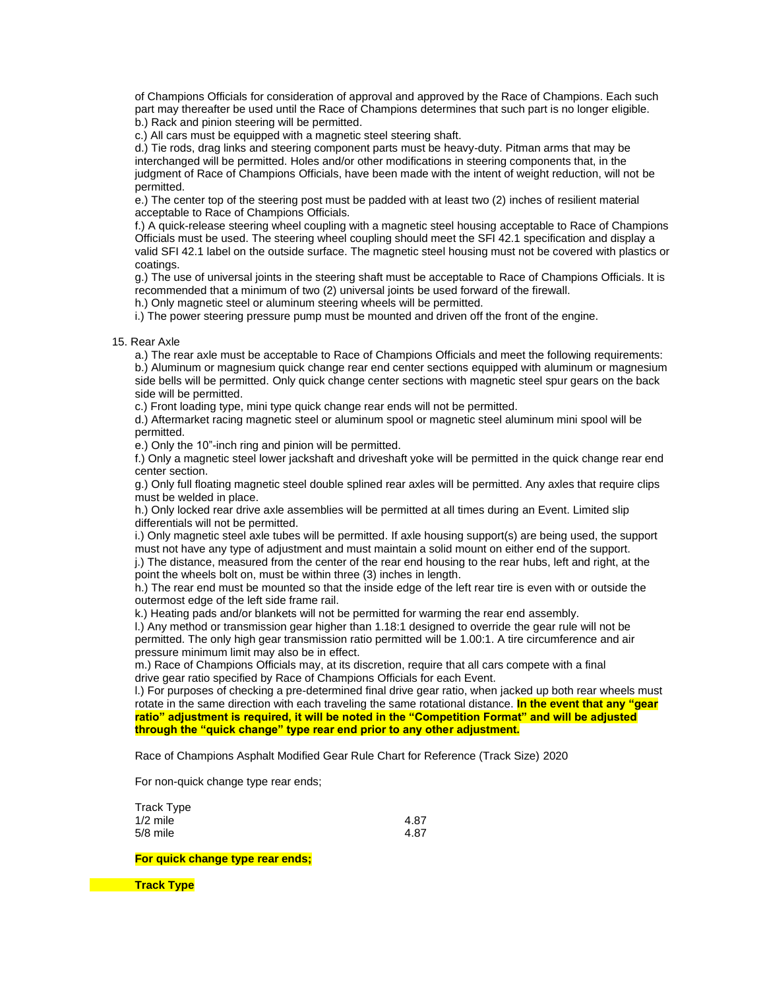of Champions Officials for consideration of approval and approved by the Race of Champions. Each such part may thereafter be used until the Race of Champions determines that such part is no longer eligible. b.) Rack and pinion steering will be permitted.

c.) All cars must be equipped with a magnetic steel steering shaft.

d.) Tie rods, drag links and steering component parts must be heavy-duty. Pitman arms that may be interchanged will be permitted. Holes and/or other modifications in steering components that, in the judgment of Race of Champions Officials, have been made with the intent of weight reduction, will not be permitted.

e.) The center top of the steering post must be padded with at least two (2) inches of resilient material acceptable to Race of Champions Officials.

f.) A quick-release steering wheel coupling with a magnetic steel housing acceptable to Race of Champions Officials must be used. The steering wheel coupling should meet the SFI 42.1 specification and display a valid SFI 42.1 label on the outside surface. The magnetic steel housing must not be covered with plastics or coatings.

g.) The use of universal joints in the steering shaft must be acceptable to Race of Champions Officials. It is recommended that a minimum of two (2) universal joints be used forward of the firewall.

h.) Only magnetic steel or aluminum steering wheels will be permitted.

i.) The power steering pressure pump must be mounted and driven off the front of the engine.

### 15. Rear Axle

a.) The rear axle must be acceptable to Race of Champions Officials and meet the following requirements: b.) Aluminum or magnesium quick change rear end center sections equipped with aluminum or magnesium side bells will be permitted. Only quick change center sections with magnetic steel spur gears on the back side will be permitted.

c.) Front loading type, mini type quick change rear ends will not be permitted.

d.) Aftermarket racing magnetic steel or aluminum spool or magnetic steel aluminum mini spool will be permitted.

e.) Only the 10"-inch ring and pinion will be permitted.

f.) Only a magnetic steel lower jackshaft and driveshaft yoke will be permitted in the quick change rear end center section.

g.) Only full floating magnetic steel double splined rear axles will be permitted. Any axles that require clips must be welded in place.

h.) Only locked rear drive axle assemblies will be permitted at all times during an Event. Limited slip differentials will not be permitted.

i.) Only magnetic steel axle tubes will be permitted. If axle housing support(s) are being used, the support must not have any type of adjustment and must maintain a solid mount on either end of the support.

j.) The distance, measured from the center of the rear end housing to the rear hubs, left and right, at the point the wheels bolt on, must be within three (3) inches in length.

h.) The rear end must be mounted so that the inside edge of the left rear tire is even with or outside the outermost edge of the left side frame rail.

k.) Heating pads and/or blankets will not be permitted for warming the rear end assembly.

l.) Any method or transmission gear higher than 1.18:1 designed to override the gear rule will not be permitted. The only high gear transmission ratio permitted will be 1.00:1. A tire circumference and air pressure minimum limit may also be in effect.

m.) Race of Champions Officials may, at its discretion, require that all cars compete with a final drive gear ratio specified by Race of Champions Officials for each Event.

l.) For purposes of checking a pre-determined final drive gear ratio, when jacked up both rear wheels must rotate in the same direction with each traveling the same rotational distance. **In the event that any "gear ratio" adjustment is required, it will be noted in the "Competition Format" and will be adjusted through the "quick change" type rear end prior to any other adjustment.**

Race of Champions Asphalt Modified Gear Rule Chart for Reference (Track Size) 2020

For non-quick change type rear ends;

| 4.87 |
|------|
| 4.87 |
|      |

# **For quick change type rear ends;**

**Track Type**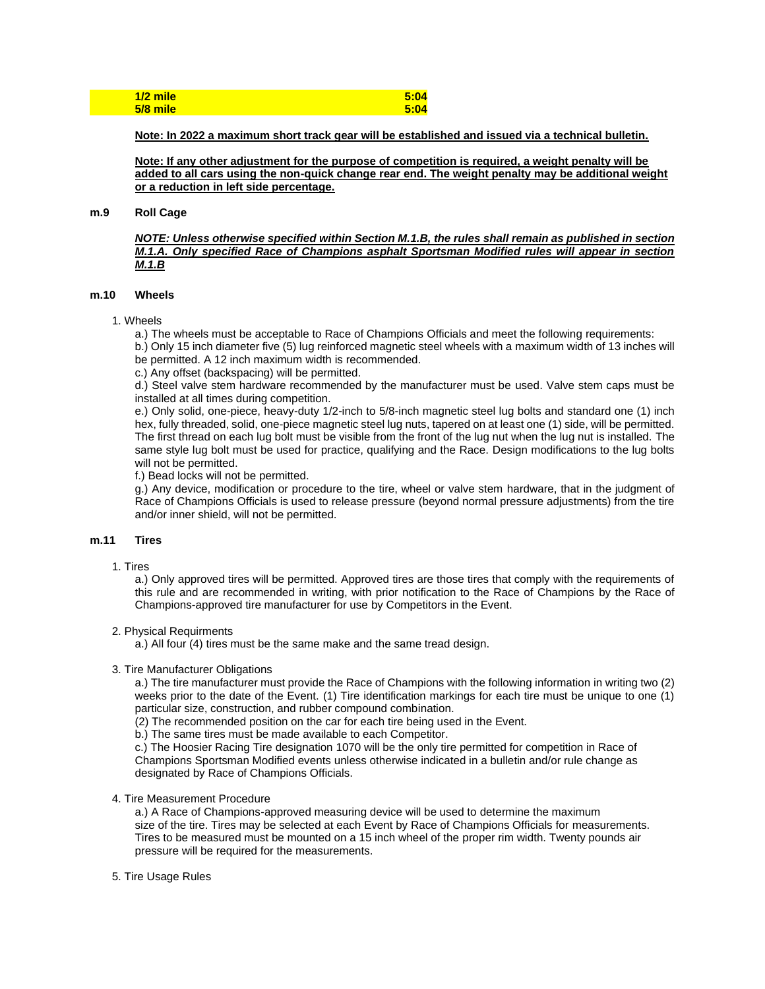| $1/2$ mile | 5:04 |
|------------|------|
| $5/8$ mile | 5:04 |

**Note: In 2022 a maximum short track gear will be established and issued via a technical bulletin.**

**Note: If any other adjustment for the purpose of competition is required, a weight penalty will be added to all cars using the non-quick change rear end. The weight penalty may be additional weight or a reduction in left side percentage.**

### **m.9 Roll Cage**

*NOTE: Unless otherwise specified within Section M.1.B, the rules shall remain as published in section M.1.A. Only specified Race of Champions asphalt Sportsman Modified rules will appear in section M.1.B*

# **m.10 Wheels**

- 1. Wheels
	- a.) The wheels must be acceptable to Race of Champions Officials and meet the following requirements:

b.) Only 15 inch diameter five (5) lug reinforced magnetic steel wheels with a maximum width of 13 inches will be permitted. A 12 inch maximum width is recommended.

c.) Any offset (backspacing) will be permitted.

d.) Steel valve stem hardware recommended by the manufacturer must be used. Valve stem caps must be installed at all times during competition.

e.) Only solid, one-piece, heavy-duty 1/2-inch to 5/8-inch magnetic steel lug bolts and standard one (1) inch hex, fully threaded, solid, one-piece magnetic steel lug nuts, tapered on at least one (1) side, will be permitted. The first thread on each lug bolt must be visible from the front of the lug nut when the lug nut is installed. The same style lug bolt must be used for practice, qualifying and the Race. Design modifications to the lug bolts will not be permitted.

f.) Bead locks will not be permitted.

g.) Any device, modification or procedure to the tire, wheel or valve stem hardware, that in the judgment of Race of Champions Officials is used to release pressure (beyond normal pressure adjustments) from the tire and/or inner shield, will not be permitted.

# **m.11 Tires**

1. Tires

a.) Only approved tires will be permitted. Approved tires are those tires that comply with the requirements of this rule and are recommended in writing, with prior notification to the Race of Champions by the Race of Champions-approved tire manufacturer for use by Competitors in the Event.

# 2. Physical Requirments

a.) All four (4) tires must be the same make and the same tread design.

# 3. Tire Manufacturer Obligations

a.) The tire manufacturer must provide the Race of Champions with the following information in writing two (2) weeks prior to the date of the Event. (1) Tire identification markings for each tire must be unique to one (1) particular size, construction, and rubber compound combination.

(2) The recommended position on the car for each tire being used in the Event.

b.) The same tires must be made available to each Competitor.

c.) The Hoosier Racing Tire designation 1070 will be the only tire permitted for competition in Race of Champions Sportsman Modified events unless otherwise indicated in a bulletin and/or rule change as designated by Race of Champions Officials.

#### 4. Tire Measurement Procedure

a.) A Race of Champions-approved measuring device will be used to determine the maximum size of the tire. Tires may be selected at each Event by Race of Champions Officials for measurements. Tires to be measured must be mounted on a 15 inch wheel of the proper rim width. Twenty pounds air pressure will be required for the measurements.

# 5. Tire Usage Rules